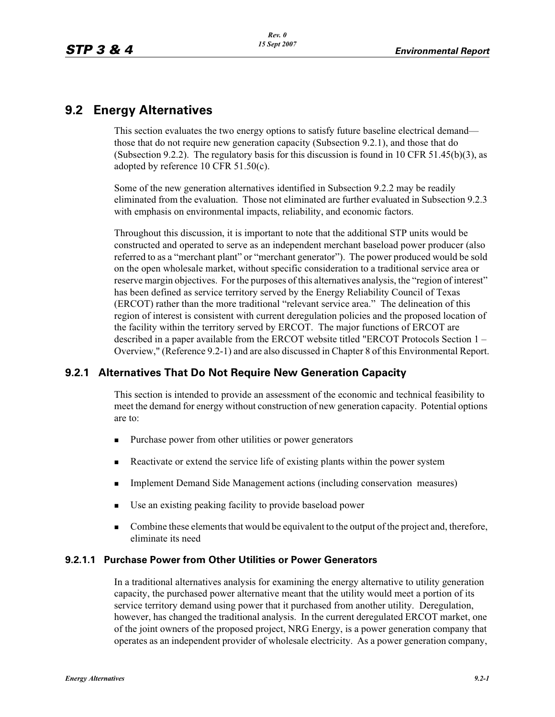# **9.2 Energy Alternatives**

This section evaluates the two energy options to satisfy future baseline electrical demand those that do not require new generation capacity (Subsection 9.2.1), and those that do (Subsection 9.2.2). The regulatory basis for this discussion is found in 10 CFR 51.45(b)(3), as adopted by reference 10 CFR 51.50(c).

Some of the new generation alternatives identified in Subsection 9.2.2 may be readily eliminated from the evaluation. Those not eliminated are further evaluated in Subsection 9.2.3 with emphasis on environmental impacts, reliability, and economic factors.

Throughout this discussion, it is important to note that the additional STP units would be constructed and operated to serve as an independent merchant baseload power producer (also referred to as a "merchant plant" or "merchant generator"). The power produced would be sold on the open wholesale market, without specific consideration to a traditional service area or reserve margin objectives. For the purposes of this alternatives analysis, the "region of interest" has been defined as service territory served by the Energy Reliability Council of Texas (ERCOT) rather than the more traditional "relevant service area." The delineation of this region of interest is consistent with current deregulation policies and the proposed location of the facility within the territory served by ERCOT. The major functions of ERCOT are described in a paper available from the ERCOT website titled "ERCOT Protocols Section 1 – Overview," (Reference 9.2-1) and are also discussed in Chapter 8 of this Environmental Report.

## **9.2.1 Alternatives That Do Not Require New Generation Capacity**

This section is intended to provide an assessment of the economic and technical feasibility to meet the demand for energy without construction of new generation capacity. Potential options are to:

- -Purchase power from other utilities or power generators
- -Reactivate or extend the service life of existing plants within the power system
- -Implement Demand Side Management actions (including conservation measures)
- -Use an existing peaking facility to provide baseload power
- - Combine these elements that would be equivalent to the output of the project and, therefore, eliminate its need

## **9.2.1.1 Purchase Power from Other Utilities or Power Generators**

In a traditional alternatives analysis for examining the energy alternative to utility generation capacity, the purchased power alternative meant that the utility would meet a portion of its service territory demand using power that it purchased from another utility. Deregulation, however, has changed the traditional analysis. In the current deregulated ERCOT market, one of the joint owners of the proposed project, NRG Energy, is a power generation company that operates as an independent provider of wholesale electricity. As a power generation company,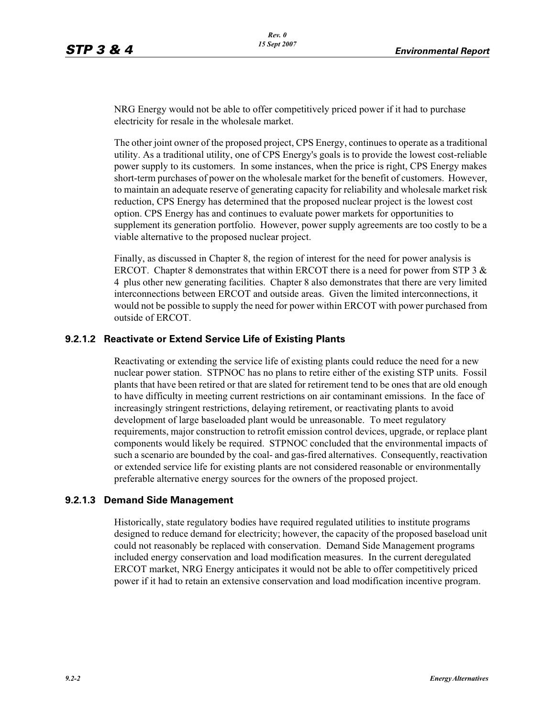NRG Energy would not be able to offer competitively priced power if it had to purchase electricity for resale in the wholesale market.

The other joint owner of the proposed project, CPS Energy, continues to operate as a traditional utility. As a traditional utility, one of CPS Energy's goals is to provide the lowest cost-reliable power supply to its customers. In some instances, when the price is right, CPS Energy makes short-term purchases of power on the wholesale market for the benefit of customers. However, to maintain an adequate reserve of generating capacity for reliability and wholesale market risk reduction, CPS Energy has determined that the proposed nuclear project is the lowest cost option. CPS Energy has and continues to evaluate power markets for opportunities to supplement its generation portfolio. However, power supply agreements are too costly to be a viable alternative to the proposed nuclear project.

Finally, as discussed in Chapter 8, the region of interest for the need for power analysis is ERCOT. Chapter 8 demonstrates that within ERCOT there is a need for power from STP 3  $\&$ 4 plus other new generating facilities. Chapter 8 also demonstrates that there are very limited interconnections between ERCOT and outside areas. Given the limited interconnections, it would not be possible to supply the need for power within ERCOT with power purchased from outside of ERCOT.

### **9.2.1.2 Reactivate or Extend Service Life of Existing Plants**

Reactivating or extending the service life of existing plants could reduce the need for a new nuclear power station. STPNOC has no plans to retire either of the existing STP units. Fossil plants that have been retired or that are slated for retirement tend to be ones that are old enough to have difficulty in meeting current restrictions on air contaminant emissions. In the face of increasingly stringent restrictions, delaying retirement, or reactivating plants to avoid development of large baseloaded plant would be unreasonable. To meet regulatory requirements, major construction to retrofit emission control devices, upgrade, or replace plant components would likely be required. STPNOC concluded that the environmental impacts of such a scenario are bounded by the coal- and gas-fired alternatives. Consequently, reactivation or extended service life for existing plants are not considered reasonable or environmentally preferable alternative energy sources for the owners of the proposed project.

#### **9.2.1.3 Demand Side Management**

Historically, state regulatory bodies have required regulated utilities to institute programs designed to reduce demand for electricity; however, the capacity of the proposed baseload unit could not reasonably be replaced with conservation. Demand Side Management programs included energy conservation and load modification measures. In the current deregulated ERCOT market, NRG Energy anticipates it would not be able to offer competitively priced power if it had to retain an extensive conservation and load modification incentive program.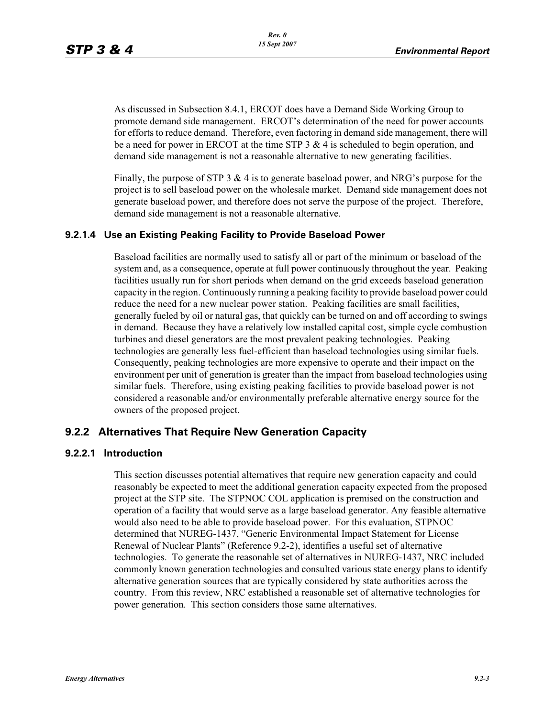As discussed in Subsection 8.4.1, ERCOT does have a Demand Side Working Group to promote demand side management. ERCOT's determination of the need for power accounts for efforts to reduce demand. Therefore, even factoring in demand side management, there will be a need for power in ERCOT at the time STP  $3 \& 4$  is scheduled to begin operation, and demand side management is not a reasonable alternative to new generating facilities.

Finally, the purpose of STP 3 & 4 is to generate baseload power, and NRG's purpose for the project is to sell baseload power on the wholesale market. Demand side management does not generate baseload power, and therefore does not serve the purpose of the project. Therefore, demand side management is not a reasonable alternative.

### **9.2.1.4 Use an Existing Peaking Facility to Provide Baseload Power**

Baseload facilities are normally used to satisfy all or part of the minimum or baseload of the system and, as a consequence, operate at full power continuously throughout the year. Peaking facilities usually run for short periods when demand on the grid exceeds baseload generation capacity in the region. Continuously running a peaking facility to provide baseload power could reduce the need for a new nuclear power station. Peaking facilities are small facilities, generally fueled by oil or natural gas, that quickly can be turned on and off according to swings in demand. Because they have a relatively low installed capital cost, simple cycle combustion turbines and diesel generators are the most prevalent peaking technologies. Peaking technologies are generally less fuel-efficient than baseload technologies using similar fuels. Consequently, peaking technologies are more expensive to operate and their impact on the environment per unit of generation is greater than the impact from baseload technologies using similar fuels. Therefore, using existing peaking facilities to provide baseload power is not considered a reasonable and/or environmentally preferable alternative energy source for the owners of the proposed project.

## **9.2.2 Alternatives That Require New Generation Capacity**

#### **9.2.2.1 Introduction**

This section discusses potential alternatives that require new generation capacity and could reasonably be expected to meet the additional generation capacity expected from the proposed project at the STP site. The STPNOC COL application is premised on the construction and operation of a facility that would serve as a large baseload generator. Any feasible alternative would also need to be able to provide baseload power. For this evaluation, STPNOC determined that NUREG-1437, "Generic Environmental Impact Statement for License Renewal of Nuclear Plants" (Reference 9.2-2), identifies a useful set of alternative technologies. To generate the reasonable set of alternatives in NUREG-1437, NRC included commonly known generation technologies and consulted various state energy plans to identify alternative generation sources that are typically considered by state authorities across the country. From this review, NRC established a reasonable set of alternative technologies for power generation. This section considers those same alternatives.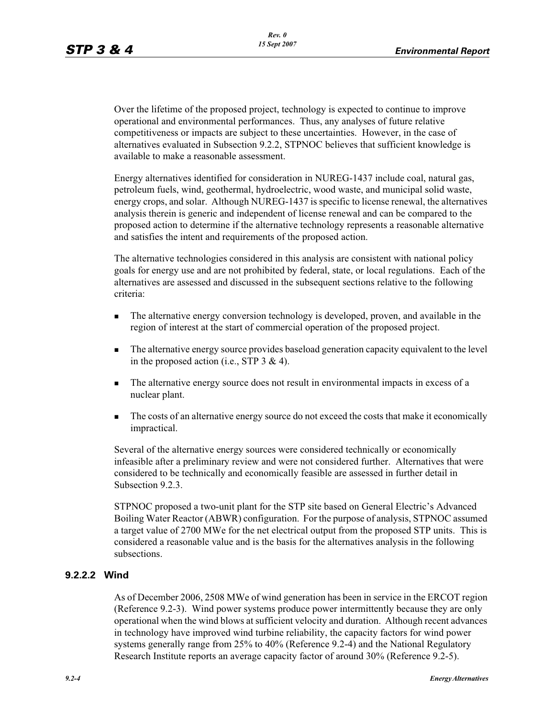Over the lifetime of the proposed project, technology is expected to continue to improve operational and environmental performances. Thus, any analyses of future relative competitiveness or impacts are subject to these uncertainties. However, in the case of alternatives evaluated in Subsection 9.2.2, STPNOC believes that sufficient knowledge is available to make a reasonable assessment.

Energy alternatives identified for consideration in NUREG-1437 include coal, natural gas, petroleum fuels, wind, geothermal, hydroelectric, wood waste, and municipal solid waste, energy crops, and solar. Although NUREG-1437 is specific to license renewal, the alternatives analysis therein is generic and independent of license renewal and can be compared to the proposed action to determine if the alternative technology represents a reasonable alternative and satisfies the intent and requirements of the proposed action.

The alternative technologies considered in this analysis are consistent with national policy goals for energy use and are not prohibited by federal, state, or local regulations. Each of the alternatives are assessed and discussed in the subsequent sections relative to the following criteria:

- - The alternative energy conversion technology is developed, proven, and available in the region of interest at the start of commercial operation of the proposed project.
- - The alternative energy source provides baseload generation capacity equivalent to the level in the proposed action (i.e., STP 3 & 4).
- - The alternative energy source does not result in environmental impacts in excess of a nuclear plant.
- - The costs of an alternative energy source do not exceed the costs that make it economically impractical.

Several of the alternative energy sources were considered technically or economically infeasible after a preliminary review and were not considered further. Alternatives that were considered to be technically and economically feasible are assessed in further detail in Subsection 9.2.3.

STPNOC proposed a two-unit plant for the STP site based on General Electric's Advanced Boiling Water Reactor (ABWR) configuration. For the purpose of analysis, STPNOC assumed a target value of 2700 MWe for the net electrical output from the proposed STP units. This is considered a reasonable value and is the basis for the alternatives analysis in the following subsections.

## **9.2.2.2 Wind**

As of December 2006, 2508 MWe of wind generation has been in service in the ERCOT region (Reference 9.2-3). Wind power systems produce power intermittently because they are only operational when the wind blows at sufficient velocity and duration. Although recent advances in technology have improved wind turbine reliability, the capacity factors for wind power systems generally range from 25% to 40% (Reference 9.2-4) and the National Regulatory Research Institute reports an average capacity factor of around 30% (Reference 9.2-5).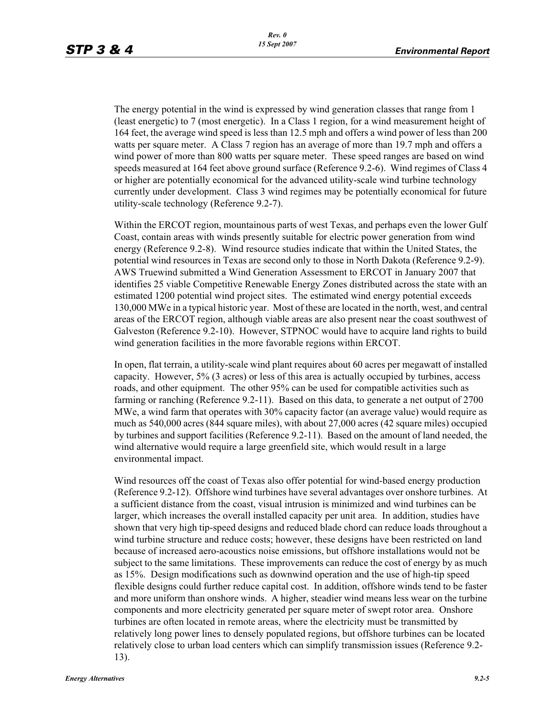The energy potential in the wind is expressed by wind generation classes that range from 1 (least energetic) to 7 (most energetic). In a Class 1 region, for a wind measurement height of 164 feet, the average wind speed is less than 12.5 mph and offers a wind power of less than 200 watts per square meter. A Class 7 region has an average of more than 19.7 mph and offers a wind power of more than 800 watts per square meter. These speed ranges are based on wind speeds measured at 164 feet above ground surface (Reference 9.2-6). Wind regimes of Class 4 or higher are potentially economical for the advanced utility-scale wind turbine technology currently under development. Class 3 wind regimes may be potentially economical for future utility-scale technology (Reference 9.2-7).

Within the ERCOT region, mountainous parts of west Texas, and perhaps even the lower Gulf Coast, contain areas with winds presently suitable for electric power generation from wind energy (Reference 9.2-8). Wind resource studies indicate that within the United States, the potential wind resources in Texas are second only to those in North Dakota (Reference 9.2-9). AWS Truewind submitted a Wind Generation Assessment to ERCOT in January 2007 that identifies 25 viable Competitive Renewable Energy Zones distributed across the state with an estimated 1200 potential wind project sites. The estimated wind energy potential exceeds 130,000 MWe in a typical historic year. Most of these are located in the north, west, and central areas of the ERCOT region, although viable areas are also present near the coast southwest of Galveston (Reference 9.2-10). However, STPNOC would have to acquire land rights to build wind generation facilities in the more favorable regions within ERCOT.

In open, flat terrain, a utility-scale wind plant requires about 60 acres per megawatt of installed capacity. However, 5% (3 acres) or less of this area is actually occupied by turbines, access roads, and other equipment. The other 95% can be used for compatible activities such as farming or ranching (Reference 9.2-11). Based on this data, to generate a net output of 2700 MWe, a wind farm that operates with 30% capacity factor (an average value) would require as much as 540,000 acres (844 square miles), with about 27,000 acres (42 square miles) occupied by turbines and support facilities (Reference 9.2-11). Based on the amount of land needed, the wind alternative would require a large greenfield site, which would result in a large environmental impact.

Wind resources off the coast of Texas also offer potential for wind-based energy production (Reference 9.2-12). Offshore wind turbines have several advantages over onshore turbines. At a sufficient distance from the coast, visual intrusion is minimized and wind turbines can be larger, which increases the overall installed capacity per unit area. In addition, studies have shown that very high tip-speed designs and reduced blade chord can reduce loads throughout a wind turbine structure and reduce costs; however, these designs have been restricted on land because of increased aero-acoustics noise emissions, but offshore installations would not be subject to the same limitations. These improvements can reduce the cost of energy by as much as 15%. Design modifications such as downwind operation and the use of high-tip speed flexible designs could further reduce capital cost. In addition, offshore winds tend to be faster and more uniform than onshore winds. A higher, steadier wind means less wear on the turbine components and more electricity generated per square meter of swept rotor area. Onshore turbines are often located in remote areas, where the electricity must be transmitted by relatively long power lines to densely populated regions, but offshore turbines can be located relatively close to urban load centers which can simplify transmission issues (Reference 9.2- 13).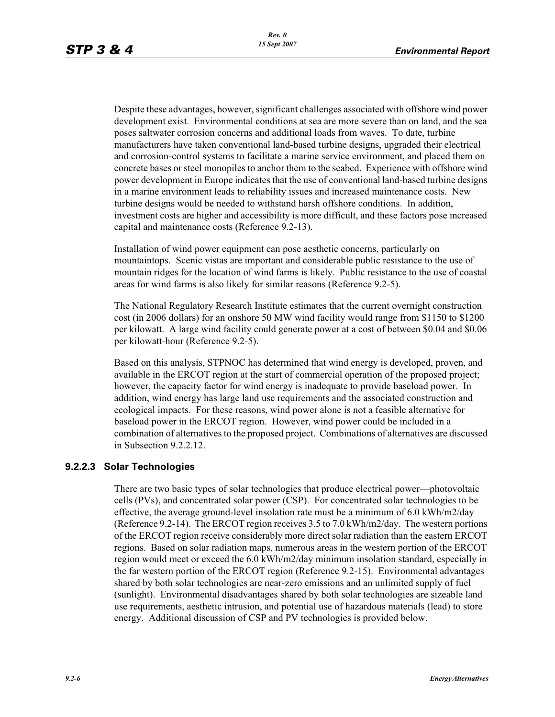Despite these advantages, however, significant challenges associated with offshore wind power development exist. Environmental conditions at sea are more severe than on land, and the sea poses saltwater corrosion concerns and additional loads from waves. To date, turbine manufacturers have taken conventional land-based turbine designs, upgraded their electrical and corrosion-control systems to facilitate a marine service environment, and placed them on concrete bases or steel monopiles to anchor them to the seabed. Experience with offshore wind power development in Europe indicates that the use of conventional land-based turbine designs in a marine environment leads to reliability issues and increased maintenance costs. New turbine designs would be needed to withstand harsh offshore conditions. In addition, investment costs are higher and accessibility is more difficult, and these factors pose increased capital and maintenance costs (Reference 9.2-13).

Installation of wind power equipment can pose aesthetic concerns, particularly on mountaintops. Scenic vistas are important and considerable public resistance to the use of mountain ridges for the location of wind farms is likely. Public resistance to the use of coastal areas for wind farms is also likely for similar reasons (Reference 9.2-5).

The National Regulatory Research Institute estimates that the current overnight construction cost (in 2006 dollars) for an onshore 50 MW wind facility would range from \$1150 to \$1200 per kilowatt. A large wind facility could generate power at a cost of between \$0.04 and \$0.06 per kilowatt-hour (Reference 9.2-5).

Based on this analysis, STPNOC has determined that wind energy is developed, proven, and available in the ERCOT region at the start of commercial operation of the proposed project; however, the capacity factor for wind energy is inadequate to provide baseload power. In addition, wind energy has large land use requirements and the associated construction and ecological impacts. For these reasons, wind power alone is not a feasible alternative for baseload power in the ERCOT region. However, wind power could be included in a combination of alternatives to the proposed project. Combinations of alternatives are discussed in Subsection 9.2.2.12.

#### **9.2.2.3 Solar Technologies**

There are two basic types of solar technologies that produce electrical power—photovoltaic cells (PVs), and concentrated solar power (CSP). For concentrated solar technologies to be effective, the average ground-level insolation rate must be a minimum of 6.0 kWh/m2/day (Reference 9.2-14). The ERCOT region receives 3.5 to 7.0 kWh/m2/day. The western portions of the ERCOT region receive considerably more direct solar radiation than the eastern ERCOT regions. Based on solar radiation maps, numerous areas in the western portion of the ERCOT region would meet or exceed the 6.0 kWh/m2/day minimum insolation standard, especially in the far western portion of the ERCOT region (Reference 9.2-15). Environmental advantages shared by both solar technologies are near-zero emissions and an unlimited supply of fuel (sunlight). Environmental disadvantages shared by both solar technologies are sizeable land use requirements, aesthetic intrusion, and potential use of hazardous materials (lead) to store energy. Additional discussion of CSP and PV technologies is provided below.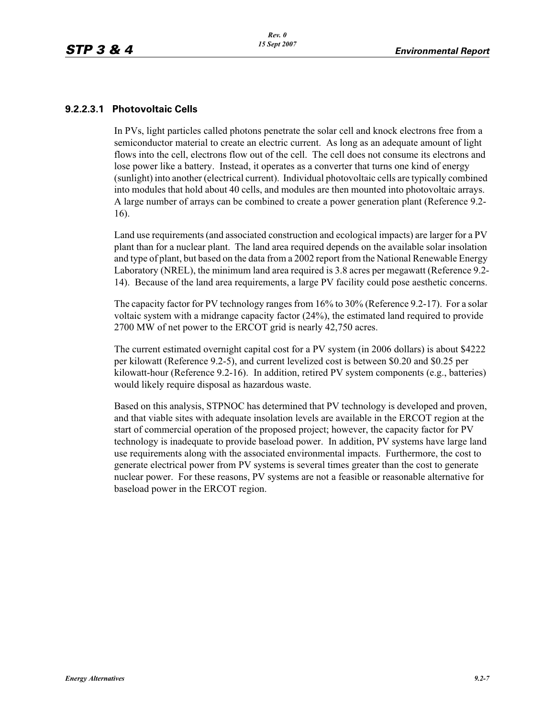### **9.2.2.3.1 Photovoltaic Cells**

In PVs, light particles called photons penetrate the solar cell and knock electrons free from a semiconductor material to create an electric current. As long as an adequate amount of light flows into the cell, electrons flow out of the cell. The cell does not consume its electrons and lose power like a battery. Instead, it operates as a converter that turns one kind of energy (sunlight) into another (electrical current). Individual photovoltaic cells are typically combined into modules that hold about 40 cells, and modules are then mounted into photovoltaic arrays. A large number of arrays can be combined to create a power generation plant (Reference 9.2- 16).

Land use requirements (and associated construction and ecological impacts) are larger for a PV plant than for a nuclear plant. The land area required depends on the available solar insolation and type of plant, but based on the data from a 2002 report from the National Renewable Energy Laboratory (NREL), the minimum land area required is 3.8 acres per megawatt (Reference 9.2- 14). Because of the land area requirements, a large PV facility could pose aesthetic concerns.

The capacity factor for PV technology ranges from 16% to 30% (Reference 9.2-17). For a solar voltaic system with a midrange capacity factor (24%), the estimated land required to provide 2700 MW of net power to the ERCOT grid is nearly 42,750 acres.

The current estimated overnight capital cost for a PV system (in 2006 dollars) is about \$4222 per kilowatt (Reference 9.2-5), and current levelized cost is between \$0.20 and \$0.25 per kilowatt-hour (Reference 9.2-16). In addition, retired PV system components (e.g., batteries) would likely require disposal as hazardous waste.

Based on this analysis, STPNOC has determined that PV technology is developed and proven, and that viable sites with adequate insolation levels are available in the ERCOT region at the start of commercial operation of the proposed project; however, the capacity factor for PV technology is inadequate to provide baseload power. In addition, PV systems have large land use requirements along with the associated environmental impacts. Furthermore, the cost to generate electrical power from PV systems is several times greater than the cost to generate nuclear power. For these reasons, PV systems are not a feasible or reasonable alternative for baseload power in the ERCOT region.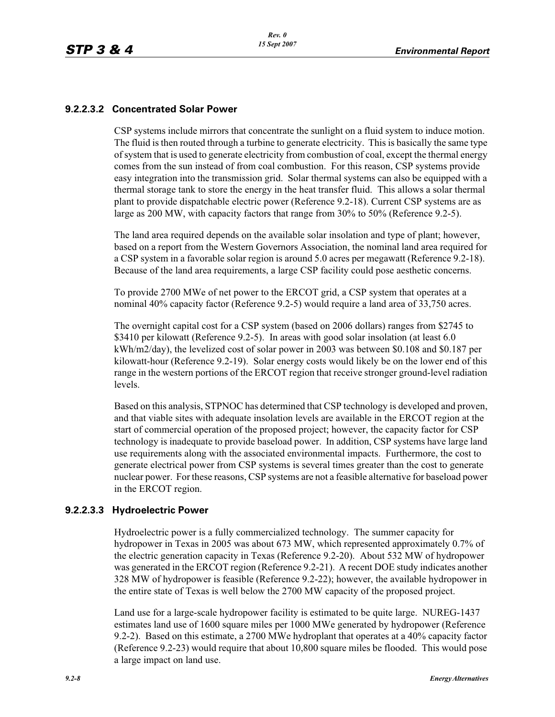## **9.2.2.3.2 Concentrated Solar Power**

CSP systems include mirrors that concentrate the sunlight on a fluid system to induce motion. The fluid is then routed through a turbine to generate electricity. This is basically the same type of system that is used to generate electricity from combustion of coal, except the thermal energy comes from the sun instead of from coal combustion. For this reason, CSP systems provide easy integration into the transmission grid. Solar thermal systems can also be equipped with a thermal storage tank to store the energy in the heat transfer fluid. This allows a solar thermal plant to provide dispatchable electric power (Reference 9.2-18). Current CSP systems are as large as 200 MW, with capacity factors that range from 30% to 50% (Reference 9.2-5).

The land area required depends on the available solar insolation and type of plant; however, based on a report from the Western Governors Association, the nominal land area required for a CSP system in a favorable solar region is around 5.0 acres per megawatt (Reference 9.2-18). Because of the land area requirements, a large CSP facility could pose aesthetic concerns.

To provide 2700 MWe of net power to the ERCOT grid, a CSP system that operates at a nominal 40% capacity factor (Reference 9.2-5) would require a land area of 33,750 acres.

The overnight capital cost for a CSP system (based on 2006 dollars) ranges from \$2745 to \$3410 per kilowatt (Reference 9.2-5). In areas with good solar insolation (at least 6.0 kWh/m2/day), the levelized cost of solar power in 2003 was between \$0.108 and \$0.187 per kilowatt-hour (Reference 9.2-19). Solar energy costs would likely be on the lower end of this range in the western portions of the ERCOT region that receive stronger ground-level radiation levels.

Based on this analysis, STPNOC has determined that CSP technology is developed and proven, and that viable sites with adequate insolation levels are available in the ERCOT region at the start of commercial operation of the proposed project; however, the capacity factor for CSP technology is inadequate to provide baseload power. In addition, CSP systems have large land use requirements along with the associated environmental impacts. Furthermore, the cost to generate electrical power from CSP systems is several times greater than the cost to generate nuclear power. For these reasons, CSP systems are not a feasible alternative for baseload power in the ERCOT region.

## **9.2.2.3.3 Hydroelectric Power**

Hydroelectric power is a fully commercialized technology. The summer capacity for hydropower in Texas in 2005 was about 673 MW, which represented approximately 0.7% of the electric generation capacity in Texas (Reference 9.2-20). About 532 MW of hydropower was generated in the ERCOT region (Reference 9.2-21). A recent DOE study indicates another 328 MW of hydropower is feasible (Reference 9.2-22); however, the available hydropower in the entire state of Texas is well below the 2700 MW capacity of the proposed project.

Land use for a large-scale hydropower facility is estimated to be quite large. NUREG-1437 estimates land use of 1600 square miles per 1000 MWe generated by hydropower (Reference 9.2-2). Based on this estimate, a 2700 MWe hydroplant that operates at a 40% capacity factor (Reference 9.2-23) would require that about 10,800 square miles be flooded. This would pose a large impact on land use.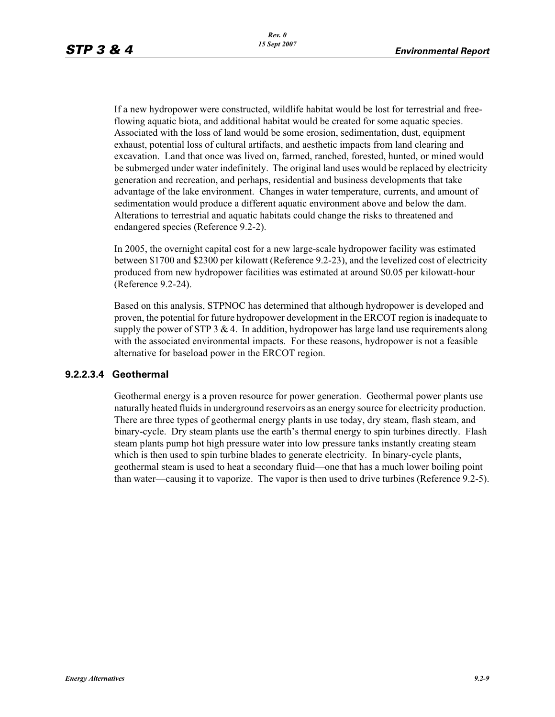If a new hydropower were constructed, wildlife habitat would be lost for terrestrial and freeflowing aquatic biota, and additional habitat would be created for some aquatic species. Associated with the loss of land would be some erosion, sedimentation, dust, equipment exhaust, potential loss of cultural artifacts, and aesthetic impacts from land clearing and excavation. Land that once was lived on, farmed, ranched, forested, hunted, or mined would be submerged under water indefinitely. The original land uses would be replaced by electricity generation and recreation, and perhaps, residential and business developments that take advantage of the lake environment. Changes in water temperature, currents, and amount of sedimentation would produce a different aquatic environment above and below the dam. Alterations to terrestrial and aquatic habitats could change the risks to threatened and endangered species (Reference 9.2-2).

In 2005, the overnight capital cost for a new large-scale hydropower facility was estimated between \$1700 and \$2300 per kilowatt (Reference 9.2-23), and the levelized cost of electricity produced from new hydropower facilities was estimated at around \$0.05 per kilowatt-hour (Reference 9.2-24).

Based on this analysis, STPNOC has determined that although hydropower is developed and proven, the potential for future hydropower development in the ERCOT region is inadequate to supply the power of STP 3  $\&$  4. In addition, hydropower has large land use requirements along with the associated environmental impacts. For these reasons, hydropower is not a feasible alternative for baseload power in the ERCOT region.

#### **9.2.2.3.4 Geothermal**

Geothermal energy is a proven resource for power generation. Geothermal power plants use naturally heated fluids in underground reservoirs as an energy source for electricity production. There are three types of geothermal energy plants in use today, dry steam, flash steam, and binary-cycle. Dry steam plants use the earth's thermal energy to spin turbines directly. Flash steam plants pump hot high pressure water into low pressure tanks instantly creating steam which is then used to spin turbine blades to generate electricity. In binary-cycle plants, geothermal steam is used to heat a secondary fluid—one that has a much lower boiling point than water—causing it to vaporize. The vapor is then used to drive turbines (Reference 9.2-5).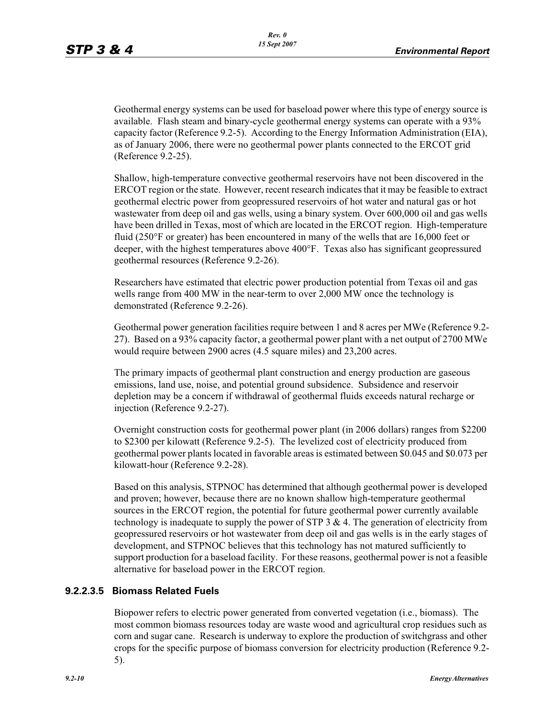Geothermal energy systems can be used for baseload power where this type of energy source is available. Flash steam and binary-cycle geothermal energy systems can operate with a 93% capacity factor (Reference 9.2-5). According to the Energy Information Administration (EIA), as of January 2006, there were no geothermal power plants connected to the ERCOT grid (Reference 9.2-25).

Shallow, high-temperature convective geothermal reservoirs have not been discovered in the ERCOT region or the state. However, recent research indicates that it may be feasible to extract geothermal electric power from geopressured reservoirs of hot water and natural gas or hot wastewater from deep oil and gas wells, using a binary system. Over 600,000 oil and gas wells have been drilled in Texas, most of which are located in the ERCOT region. High-temperature fluid (250°F or greater) has been encountered in many of the wells that are 16,000 feet or deeper, with the highest temperatures above 400°F. Texas also has significant geopressured geothermal resources (Reference 9.2-26).

Researchers have estimated that electric power production potential from Texas oil and gas wells range from 400 MW in the near-term to over 2,000 MW once the technology is demonstrated (Reference 9.2-26).

Geothermal power generation facilities require between 1 and 8 acres per MWe (Reference 9.2- 27). Based on a 93% capacity factor, a geothermal power plant with a net output of 2700 MWe would require between 2900 acres (4.5 square miles) and 23,200 acres.

The primary impacts of geothermal plant construction and energy production are gaseous emissions, land use, noise, and potential ground subsidence. Subsidence and reservoir depletion may be a concern if withdrawal of geothermal fluids exceeds natural recharge or injection (Reference 9.2-27).

Overnight construction costs for geothermal power plant (in 2006 dollars) ranges from \$2200 to \$2300 per kilowatt (Reference 9.2-5). The levelized cost of electricity produced from geothermal power plants located in favorable areas is estimated between \$0.045 and \$0.073 per kilowatt-hour (Reference 9.2-28).

Based on this analysis, STPNOC has determined that although geothermal power is developed and proven; however, because there are no known shallow high-temperature geothermal sources in the ERCOT region, the potential for future geothermal power currently available technology is inadequate to supply the power of STP  $3 \& 4$ . The generation of electricity from geopressured reservoirs or hot wastewater from deep oil and gas wells is in the early stages of development, and STPNOC believes that this technology has not matured sufficiently to support production for a baseload facility. For these reasons, geothermal power is not a feasible alternative for baseload power in the ERCOT region.

## **9.2.2.3.5 Biomass Related Fuels**

Biopower refers to electric power generated from converted vegetation (i.e., biomass). The most common biomass resources today are waste wood and agricultural crop residues such as corn and sugar cane. Research is underway to explore the production of switchgrass and other crops for the specific purpose of biomass conversion for electricity production (Reference 9.2- 5).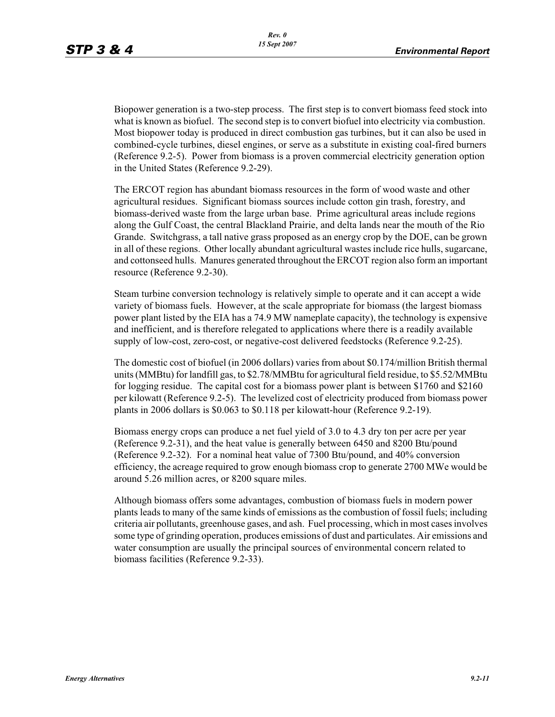Biopower generation is a two-step process. The first step is to convert biomass feed stock into what is known as biofuel. The second step is to convert biofuel into electricity via combustion. Most biopower today is produced in direct combustion gas turbines, but it can also be used in combined-cycle turbines, diesel engines, or serve as a substitute in existing coal-fired burners (Reference 9.2-5). Power from biomass is a proven commercial electricity generation option in the United States (Reference 9.2-29).

The ERCOT region has abundant biomass resources in the form of wood waste and other agricultural residues. Significant biomass sources include cotton gin trash, forestry, and biomass-derived waste from the large urban base. Prime agricultural areas include regions along the Gulf Coast, the central Blackland Prairie, and delta lands near the mouth of the Rio Grande. Switchgrass, a tall native grass proposed as an energy crop by the DOE, can be grown in all of these regions. Other locally abundant agricultural wastes include rice hulls, sugarcane, and cottonseed hulls. Manures generated throughout the ERCOT region also form an important resource (Reference 9.2-30).

Steam turbine conversion technology is relatively simple to operate and it can accept a wide variety of biomass fuels. However, at the scale appropriate for biomass (the largest biomass power plant listed by the EIA has a 74.9 MW nameplate capacity), the technology is expensive and inefficient, and is therefore relegated to applications where there is a readily available supply of low-cost, zero-cost, or negative-cost delivered feedstocks (Reference 9.2-25).

The domestic cost of biofuel (in 2006 dollars) varies from about \$0.174/million British thermal units (MMBtu) for landfill gas, to \$2.78/MMBtu for agricultural field residue, to \$5.52/MMBtu for logging residue. The capital cost for a biomass power plant is between \$1760 and \$2160 per kilowatt (Reference 9.2-5). The levelized cost of electricity produced from biomass power plants in 2006 dollars is \$0.063 to \$0.118 per kilowatt-hour (Reference 9.2-19).

Biomass energy crops can produce a net fuel yield of 3.0 to 4.3 dry ton per acre per year (Reference 9.2-31), and the heat value is generally between 6450 and 8200 Btu/pound (Reference 9.2-32). For a nominal heat value of 7300 Btu/pound, and 40% conversion efficiency, the acreage required to grow enough biomass crop to generate 2700 MWe would be around 5.26 million acres, or 8200 square miles.

Although biomass offers some advantages, combustion of biomass fuels in modern power plants leads to many of the same kinds of emissions as the combustion of fossil fuels; including criteria air pollutants, greenhouse gases, and ash. Fuel processing, which in most cases involves some type of grinding operation, produces emissions of dust and particulates. Air emissions and water consumption are usually the principal sources of environmental concern related to biomass facilities (Reference 9.2-33).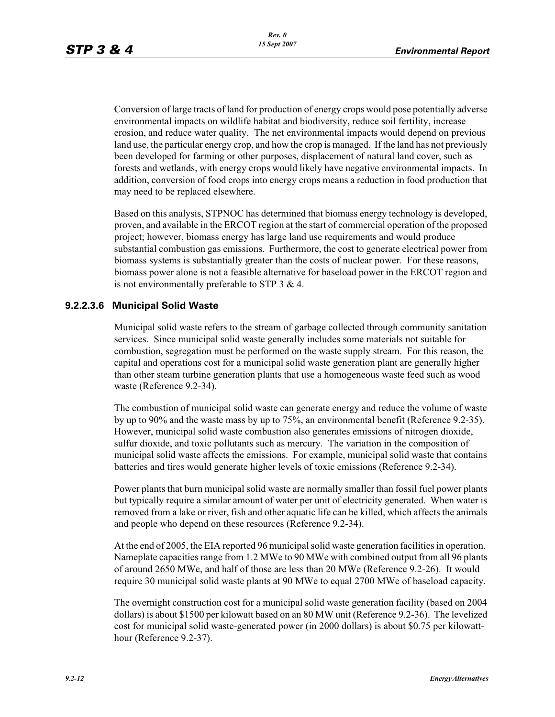Conversion of large tracts of land for production of energy crops would pose potentially adverse environmental impacts on wildlife habitat and biodiversity, reduce soil fertility, increase erosion, and reduce water quality. The net environmental impacts would depend on previous land use, the particular energy crop, and how the crop is managed. If the land has not previously been developed for farming or other purposes, displacement of natural land cover, such as forests and wetlands, with energy crops would likely have negative environmental impacts. In addition, conversion of food crops into energy crops means a reduction in food production that may need to be replaced elsewhere.

Based on this analysis, STPNOC has determined that biomass energy technology is developed, proven, and available in the ERCOT region at the start of commercial operation of the proposed project; however, biomass energy has large land use requirements and would produce substantial combustion gas emissions. Furthermore, the cost to generate electrical power from biomass systems is substantially greater than the costs of nuclear power. For these reasons, biomass power alone is not a feasible alternative for baseload power in the ERCOT region and is not environmentally preferable to STP 3 & 4.

#### **9.2.2.3.6 Municipal Solid Waste**

Municipal solid waste refers to the stream of garbage collected through community sanitation services. Since municipal solid waste generally includes some materials not suitable for combustion, segregation must be performed on the waste supply stream. For this reason, the capital and operations cost for a municipal solid waste generation plant are generally higher than other steam turbine generation plants that use a homogeneous waste feed such as wood waste (Reference 9.2-34).

The combustion of municipal solid waste can generate energy and reduce the volume of waste by up to 90% and the waste mass by up to 75%, an environmental benefit (Reference 9.2-35). However, municipal solid waste combustion also generates emissions of nitrogen dioxide, sulfur dioxide, and toxic pollutants such as mercury. The variation in the composition of municipal solid waste affects the emissions. For example, municipal solid waste that contains batteries and tires would generate higher levels of toxic emissions (Reference 9.2-34).

Power plants that burn municipal solid waste are normally smaller than fossil fuel power plants but typically require a similar amount of water per unit of electricity generated. When water is removed from a lake or river, fish and other aquatic life can be killed, which affects the animals and people who depend on these resources (Reference 9.2-34).

At the end of 2005, the EIA reported 96 municipal solid waste generation facilities in operation. Nameplate capacities range from 1.2 MWe to 90 MWe with combined output from all 96 plants of around 2650 MWe, and half of those are less than 20 MWe (Reference 9.2-26). It would require 30 municipal solid waste plants at 90 MWe to equal 2700 MWe of baseload capacity.

The overnight construction cost for a municipal solid waste generation facility (based on 2004 dollars) is about \$1500 per kilowatt based on an 80 MW unit (Reference 9.2-36). The levelized cost for municipal solid waste-generated power (in 2000 dollars) is about \$0.75 per kilowatthour (Reference 9.2-37).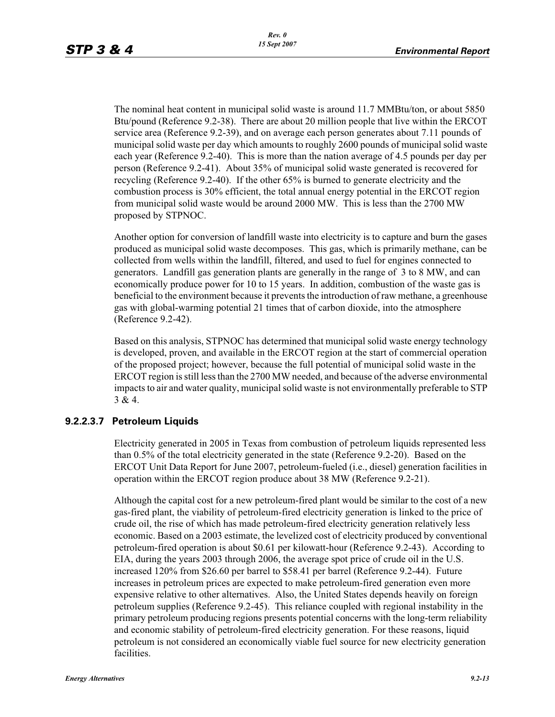The nominal heat content in municipal solid waste is around 11.7 MMBtu/ton, or about 5850 Btu/pound (Reference 9.2-38). There are about 20 million people that live within the ERCOT service area (Reference 9.2-39), and on average each person generates about 7.11 pounds of municipal solid waste per day which amounts to roughly 2600 pounds of municipal solid waste each year (Reference 9.2-40). This is more than the nation average of 4.5 pounds per day per person (Reference 9.2-41). About 35% of municipal solid waste generated is recovered for recycling (Reference 9.2-40). If the other 65% is burned to generate electricity and the combustion process is 30% efficient, the total annual energy potential in the ERCOT region from municipal solid waste would be around 2000 MW. This is less than the 2700 MW proposed by STPNOC.

Another option for conversion of landfill waste into electricity is to capture and burn the gases produced as municipal solid waste decomposes. This gas, which is primarily methane, can be collected from wells within the landfill, filtered, and used to fuel for engines connected to generators. Landfill gas generation plants are generally in the range of 3 to 8 MW, and can economically produce power for 10 to 15 years. In addition, combustion of the waste gas is beneficial to the environment because it prevents the introduction of raw methane, a greenhouse gas with global-warming potential 21 times that of carbon dioxide, into the atmosphere (Reference 9.2-42).

Based on this analysis, STPNOC has determined that municipal solid waste energy technology is developed, proven, and available in the ERCOT region at the start of commercial operation of the proposed project; however, because the full potential of municipal solid waste in the ERCOT region is still less than the 2700 MW needed, and because of the adverse environmental impacts to air and water quality, municipal solid waste is not environmentally preferable to STP 3 & 4.

## **9.2.2.3.7 Petroleum Liquids**

Electricity generated in 2005 in Texas from combustion of petroleum liquids represented less than 0.5% of the total electricity generated in the state (Reference 9.2-20). Based on the ERCOT Unit Data Report for June 2007, petroleum-fueled (i.e., diesel) generation facilities in operation within the ERCOT region produce about 38 MW (Reference 9.2-21).

Although the capital cost for a new petroleum-fired plant would be similar to the cost of a new gas-fired plant, the viability of petroleum-fired electricity generation is linked to the price of crude oil, the rise of which has made petroleum-fired electricity generation relatively less economic. Based on a 2003 estimate, the levelized cost of electricity produced by conventional petroleum-fired operation is about \$0.61 per kilowatt-hour (Reference 9.2-43). According to EIA, during the years 2003 through 2006, the average spot price of crude oil in the U.S. increased 120% from \$26.60 per barrel to \$58.41 per barrel (Reference 9.2-44). Future increases in petroleum prices are expected to make petroleum-fired generation even more expensive relative to other alternatives. Also, the United States depends heavily on foreign petroleum supplies (Reference 9.2-45). This reliance coupled with regional instability in the primary petroleum producing regions presents potential concerns with the long-term reliability and economic stability of petroleum-fired electricity generation. For these reasons, liquid petroleum is not considered an economically viable fuel source for new electricity generation facilities.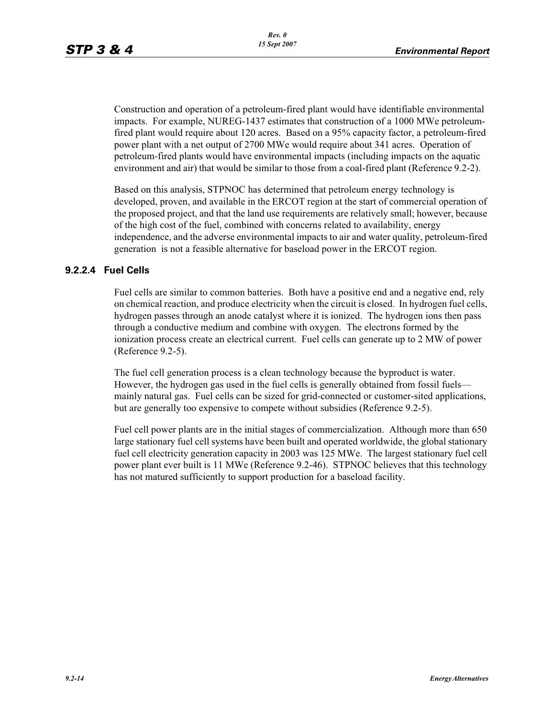Construction and operation of a petroleum-fired plant would have identifiable environmental impacts. For example, NUREG-1437 estimates that construction of a 1000 MWe petroleumfired plant would require about 120 acres. Based on a 95% capacity factor, a petroleum-fired power plant with a net output of 2700 MWe would require about 341 acres. Operation of petroleum-fired plants would have environmental impacts (including impacts on the aquatic environment and air) that would be similar to those from a coal-fired plant (Reference 9.2-2).

Based on this analysis, STPNOC has determined that petroleum energy technology is developed, proven, and available in the ERCOT region at the start of commercial operation of the proposed project, and that the land use requirements are relatively small; however, because of the high cost of the fuel, combined with concerns related to availability, energy independence, and the adverse environmental impacts to air and water quality, petroleum-fired generation is not a feasible alternative for baseload power in the ERCOT region.

## **9.2.2.4 Fuel Cells**

Fuel cells are similar to common batteries. Both have a positive end and a negative end, rely on chemical reaction, and produce electricity when the circuit is closed. In hydrogen fuel cells, hydrogen passes through an anode catalyst where it is ionized. The hydrogen ions then pass through a conductive medium and combine with oxygen. The electrons formed by the ionization process create an electrical current. Fuel cells can generate up to 2 MW of power (Reference 9.2-5).

The fuel cell generation process is a clean technology because the byproduct is water. However, the hydrogen gas used in the fuel cells is generally obtained from fossil fuels mainly natural gas. Fuel cells can be sized for grid-connected or customer-sited applications, but are generally too expensive to compete without subsidies (Reference 9.2-5).

Fuel cell power plants are in the initial stages of commercialization. Although more than 650 large stationary fuel cell systems have been built and operated worldwide, the global stationary fuel cell electricity generation capacity in 2003 was 125 MWe. The largest stationary fuel cell power plant ever built is 11 MWe (Reference 9.2-46). STPNOC believes that this technology has not matured sufficiently to support production for a baseload facility.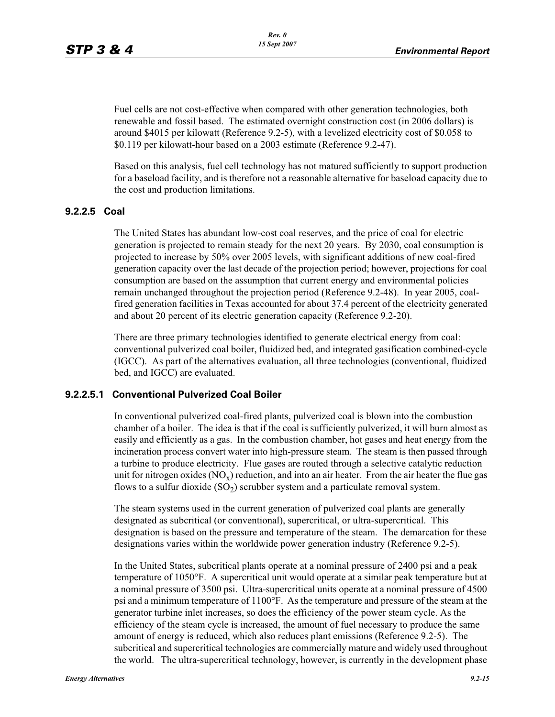Fuel cells are not cost-effective when compared with other generation technologies, both renewable and fossil based. The estimated overnight construction cost (in 2006 dollars) is around \$4015 per kilowatt (Reference 9.2-5), with a levelized electricity cost of \$0.058 to \$0.119 per kilowatt-hour based on a 2003 estimate (Reference 9.2-47).

Based on this analysis, fuel cell technology has not matured sufficiently to support production for a baseload facility, and is therefore not a reasonable alternative for baseload capacity due to the cost and production limitations.

### **9.2.2.5 Coal**

The United States has abundant low-cost coal reserves, and the price of coal for electric generation is projected to remain steady for the next 20 years. By 2030, coal consumption is projected to increase by 50% over 2005 levels, with significant additions of new coal-fired generation capacity over the last decade of the projection period; however, projections for coal consumption are based on the assumption that current energy and environmental policies remain unchanged throughout the projection period (Reference 9.2-48). In year 2005, coalfired generation facilities in Texas accounted for about 37.4 percent of the electricity generated and about 20 percent of its electric generation capacity (Reference 9.2-20).

There are three primary technologies identified to generate electrical energy from coal: conventional pulverized coal boiler, fluidized bed, and integrated gasification combined-cycle (IGCC). As part of the alternatives evaluation, all three technologies (conventional, fluidized bed, and IGCC) are evaluated.

#### **9.2.2.5.1 Conventional Pulverized Coal Boiler**

In conventional pulverized coal-fired plants, pulverized coal is blown into the combustion chamber of a boiler. The idea is that if the coal is sufficiently pulverized, it will burn almost as easily and efficiently as a gas. In the combustion chamber, hot gases and heat energy from the incineration process convert water into high-pressure steam. The steam is then passed through a turbine to produce electricity. Flue gases are routed through a selective catalytic reduction unit for nitrogen oxides  $(NO_x)$  reduction, and into an air heater. From the air heater the flue gas flows to a sulfur dioxide  $(SO<sub>2</sub>)$  scrubber system and a particulate removal system.

The steam systems used in the current generation of pulverized coal plants are generally designated as subcritical (or conventional), supercritical, or ultra-supercritical. This designation is based on the pressure and temperature of the steam. The demarcation for these designations varies within the worldwide power generation industry (Reference 9.2-5).

In the United States, subcritical plants operate at a nominal pressure of 2400 psi and a peak temperature of 1050°F. A supercritical unit would operate at a similar peak temperature but at a nominal pressure of 3500 psi. Ultra-supercritical units operate at a nominal pressure of 4500 psi and a minimum temperature of 1100°F. As the temperature and pressure of the steam at the generator turbine inlet increases, so does the efficiency of the power steam cycle. As the efficiency of the steam cycle is increased, the amount of fuel necessary to produce the same amount of energy is reduced, which also reduces plant emissions (Reference 9.2-5). The subcritical and supercritical technologies are commercially mature and widely used throughout the world. The ultra-supercritical technology, however, is currently in the development phase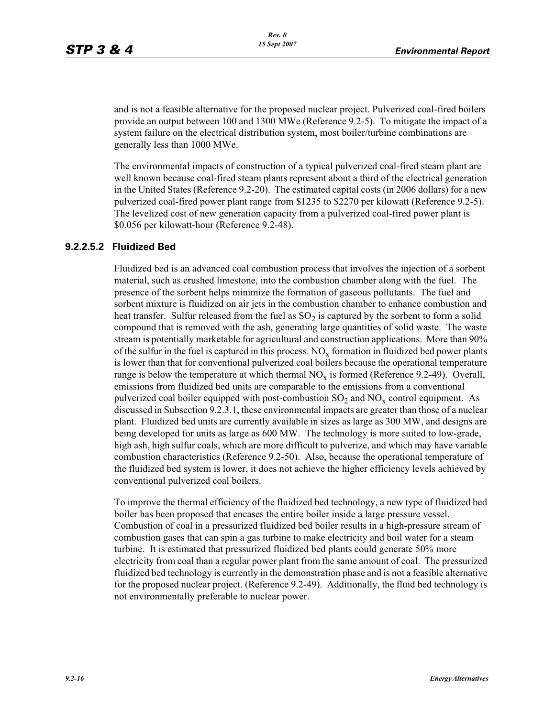and is not a feasible alternative for the proposed nuclear project. Pulverized coal-fired boilers provide an output between 100 and 1300 MWe (Reference 9.2-5). To mitigate the impact of a system failure on the electrical distribution system, most boiler/turbine combinations are generally less than 1000 MWe.

The environmental impacts of construction of a typical pulverized coal-fired steam plant are well known because coal-fired steam plants represent about a third of the electrical generation in the United States (Reference 9.2-20). The estimated capital costs (in 2006 dollars) for a new pulverized coal-fired power plant range from \$1235 to \$2270 per kilowatt (Reference 9.2-5). The levelized cost of new generation capacity from a pulverized coal-fired power plant is \$0.056 per kilowatt-hour (Reference 9.2-48).

### **9.2.2.5.2 Fluidized Bed**

Fluidized bed is an advanced coal combustion process that involves the injection of a sorbent material, such as crushed limestone, into the combustion chamber along with the fuel. The presence of the sorbent helps minimize the formation of gaseous pollutants. The fuel and sorbent mixture is fluidized on air jets in the combustion chamber to enhance combustion and heat transfer. Sulfur released from the fuel as  $SO<sub>2</sub>$  is captured by the sorbent to form a solid compound that is removed with the ash, generating large quantities of solid waste. The waste stream is potentially marketable for agricultural and construction applications. More than 90% of the sulfur in the fuel is captured in this process.  $NO_x$  formation in fluidized bed power plants is lower than that for conventional pulverized coal boilers because the operational temperature range is below the temperature at which thermal  $NO<sub>x</sub>$  is formed (Reference 9.2-49). Overall, emissions from fluidized bed units are comparable to the emissions from a conventional pulverized coal boiler equipped with post-combustion  $SO_2$  and  $NO_x$  control equipment. As discussed in Subsection 9.2.3.1, these environmental impacts are greater than those of a nuclear plant. Fluidized bed units are currently available in sizes as large as 300 MW, and designs are being developed for units as large as 600 MW. The technology is more suited to low-grade, high ash, high sulfur coals, which are more difficult to pulverize, and which may have variable combustion characteristics (Reference 9.2-50). Also, because the operational temperature of the fluidized bed system is lower, it does not achieve the higher efficiency levels achieved by conventional pulverized coal boilers.

To improve the thermal efficiency of the fluidized bed technology, a new type of fluidized bed boiler has been proposed that encases the entire boiler inside a large pressure vessel. Combustion of coal in a pressurized fluidized bed boiler results in a high-pressure stream of combustion gases that can spin a gas turbine to make electricity and boil water for a steam turbine. It is estimated that pressurized fluidized bed plants could generate 50% more electricity from coal than a regular power plant from the same amount of coal. The pressurized fluidized bed technology is currently in the demonstration phase and is not a feasible alternative for the proposed nuclear project. (Reference 9.2-49). Additionally, the fluid bed technology is not environmentally preferable to nuclear power.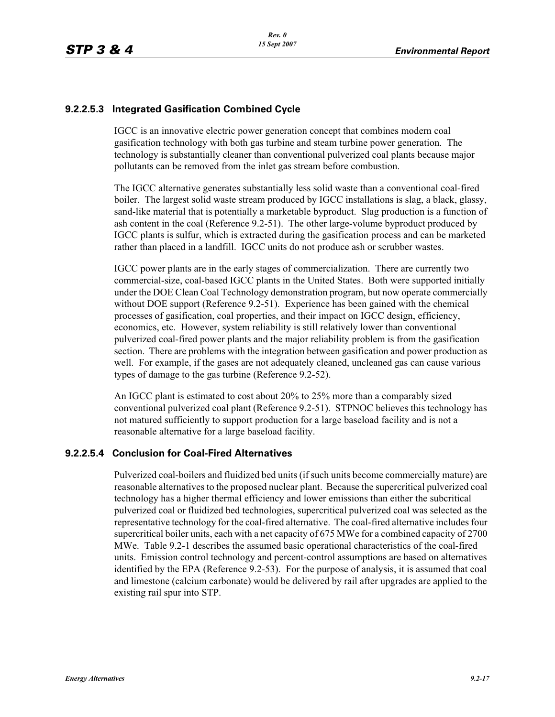## **9.2.2.5.3 Integrated Gasification Combined Cycle**

IGCC is an innovative electric power generation concept that combines modern coal gasification technology with both gas turbine and steam turbine power generation. The technology is substantially cleaner than conventional pulverized coal plants because major pollutants can be removed from the inlet gas stream before combustion.

The IGCC alternative generates substantially less solid waste than a conventional coal-fired boiler. The largest solid waste stream produced by IGCC installations is slag, a black, glassy, sand-like material that is potentially a marketable byproduct. Slag production is a function of ash content in the coal (Reference 9.2-51). The other large-volume byproduct produced by IGCC plants is sulfur, which is extracted during the gasification process and can be marketed rather than placed in a landfill. IGCC units do not produce ash or scrubber wastes.

IGCC power plants are in the early stages of commercialization. There are currently two commercial-size, coal-based IGCC plants in the United States. Both were supported initially under the DOE Clean Coal Technology demonstration program, but now operate commercially without DOE support (Reference 9.2-51). Experience has been gained with the chemical processes of gasification, coal properties, and their impact on IGCC design, efficiency, economics, etc. However, system reliability is still relatively lower than conventional pulverized coal-fired power plants and the major reliability problem is from the gasification section. There are problems with the integration between gasification and power production as well. For example, if the gases are not adequately cleaned, uncleaned gas can cause various types of damage to the gas turbine (Reference 9.2-52).

An IGCC plant is estimated to cost about 20% to 25% more than a comparably sized conventional pulverized coal plant (Reference 9.2-51). STPNOC believes this technology has not matured sufficiently to support production for a large baseload facility and is not a reasonable alternative for a large baseload facility.

## **9.2.2.5.4 Conclusion for Coal-Fired Alternatives**

Pulverized coal-boilers and fluidized bed units (if such units become commercially mature) are reasonable alternatives to the proposed nuclear plant. Because the supercritical pulverized coal technology has a higher thermal efficiency and lower emissions than either the subcritical pulverized coal or fluidized bed technologies, supercritical pulverized coal was selected as the representative technology for the coal-fired alternative. The coal-fired alternative includes four supercritical boiler units, each with a net capacity of 675 MWe for a combined capacity of 2700 MWe. Table 9.2-1 describes the assumed basic operational characteristics of the coal-fired units. Emission control technology and percent-control assumptions are based on alternatives identified by the EPA (Reference 9.2-53). For the purpose of analysis, it is assumed that coal and limestone (calcium carbonate) would be delivered by rail after upgrades are applied to the existing rail spur into STP.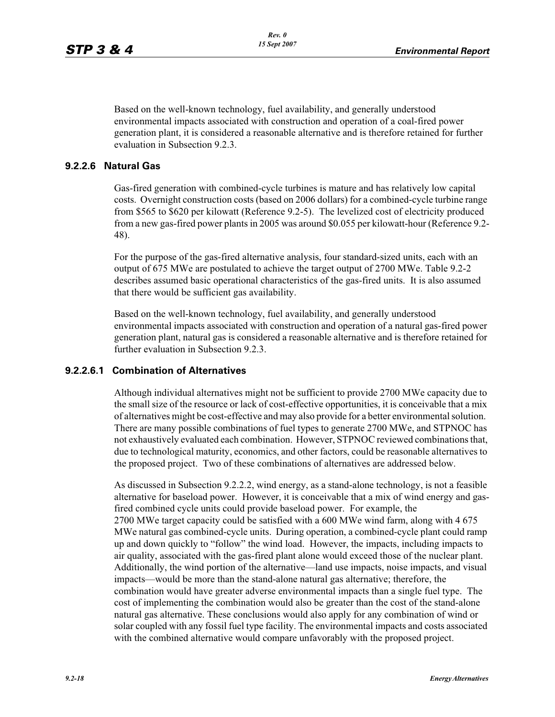Based on the well-known technology, fuel availability, and generally understood environmental impacts associated with construction and operation of a coal-fired power generation plant, it is considered a reasonable alternative and is therefore retained for further evaluation in Subsection 9.2.3.

#### **9.2.2.6 Natural Gas**

Gas-fired generation with combined-cycle turbines is mature and has relatively low capital costs. Overnight construction costs (based on 2006 dollars) for a combined-cycle turbine range from \$565 to \$620 per kilowatt (Reference 9.2-5). The levelized cost of electricity produced from a new gas-fired power plants in 2005 was around \$0.055 per kilowatt-hour (Reference 9.2- 48).

For the purpose of the gas-fired alternative analysis, four standard-sized units, each with an output of 675 MWe are postulated to achieve the target output of 2700 MWe. Table 9.2-2 describes assumed basic operational characteristics of the gas-fired units. It is also assumed that there would be sufficient gas availability.

Based on the well-known technology, fuel availability, and generally understood environmental impacts associated with construction and operation of a natural gas-fired power generation plant, natural gas is considered a reasonable alternative and is therefore retained for further evaluation in Subsection 9.2.3.

#### **9.2.2.6.1 Combination of Alternatives**

Although individual alternatives might not be sufficient to provide 2700 MWe capacity due to the small size of the resource or lack of cost-effective opportunities, it is conceivable that a mix of alternatives might be cost-effective and may also provide for a better environmental solution. There are many possible combinations of fuel types to generate 2700 MWe, and STPNOC has not exhaustively evaluated each combination. However, STPNOC reviewed combinations that, due to technological maturity, economics, and other factors, could be reasonable alternatives to the proposed project. Two of these combinations of alternatives are addressed below.

As discussed in Subsection 9.2.2.2, wind energy, as a stand-alone technology, is not a feasible alternative for baseload power. However, it is conceivable that a mix of wind energy and gasfired combined cycle units could provide baseload power. For example, the 2700 MWe target capacity could be satisfied with a 600 MWe wind farm, along with 4 675 MWe natural gas combined-cycle units. During operation, a combined-cycle plant could ramp up and down quickly to "follow" the wind load. However, the impacts, including impacts to air quality, associated with the gas-fired plant alone would exceed those of the nuclear plant. Additionally, the wind portion of the alternative—land use impacts, noise impacts, and visual impacts—would be more than the stand-alone natural gas alternative; therefore, the combination would have greater adverse environmental impacts than a single fuel type. The cost of implementing the combination would also be greater than the cost of the stand-alone natural gas alternative. These conclusions would also apply for any combination of wind or solar coupled with any fossil fuel type facility. The environmental impacts and costs associated with the combined alternative would compare unfavorably with the proposed project.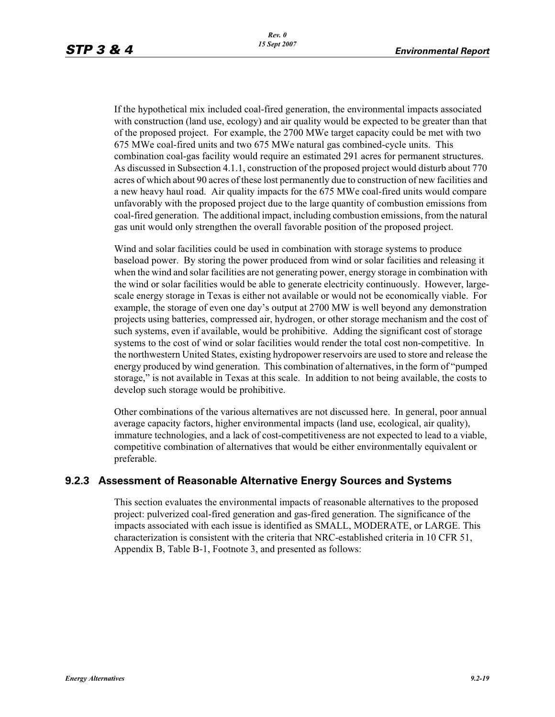If the hypothetical mix included coal-fired generation, the environmental impacts associated with construction (land use, ecology) and air quality would be expected to be greater than that of the proposed project. For example, the 2700 MWe target capacity could be met with two 675 MWe coal-fired units and two 675 MWe natural gas combined-cycle units. This combination coal-gas facility would require an estimated 291 acres for permanent structures. As discussed in Subsection 4.1.1, construction of the proposed project would disturb about 770 acres of which about 90 acres of these lost permanently due to construction of new facilities and a new heavy haul road. Air quality impacts for the 675 MWe coal-fired units would compare unfavorably with the proposed project due to the large quantity of combustion emissions from coal-fired generation. The additional impact, including combustion emissions, from the natural gas unit would only strengthen the overall favorable position of the proposed project.

Wind and solar facilities could be used in combination with storage systems to produce baseload power. By storing the power produced from wind or solar facilities and releasing it when the wind and solar facilities are not generating power, energy storage in combination with the wind or solar facilities would be able to generate electricity continuously. However, largescale energy storage in Texas is either not available or would not be economically viable. For example, the storage of even one day's output at 2700 MW is well beyond any demonstration projects using batteries, compressed air, hydrogen, or other storage mechanism and the cost of such systems, even if available, would be prohibitive. Adding the significant cost of storage systems to the cost of wind or solar facilities would render the total cost non-competitive. In the northwestern United States, existing hydropower reservoirs are used to store and release the energy produced by wind generation. This combination of alternatives, in the form of "pumped storage," is not available in Texas at this scale. In addition to not being available, the costs to develop such storage would be prohibitive.

Other combinations of the various alternatives are not discussed here. In general, poor annual average capacity factors, higher environmental impacts (land use, ecological, air quality), immature technologies, and a lack of cost-competitiveness are not expected to lead to a viable, competitive combination of alternatives that would be either environmentally equivalent or preferable.

## **9.2.3 Assessment of Reasonable Alternative Energy Sources and Systems**

This section evaluates the environmental impacts of reasonable alternatives to the proposed project: pulverized coal-fired generation and gas-fired generation. The significance of the impacts associated with each issue is identified as SMALL, MODERATE, or LARGE. This characterization is consistent with the criteria that NRC-established criteria in 10 CFR 51, Appendix B, Table B-1, Footnote 3, and presented as follows: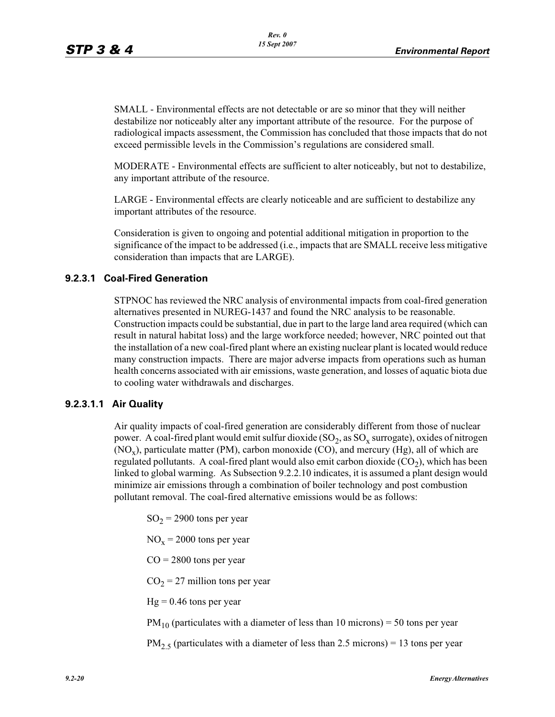SMALL - Environmental effects are not detectable or are so minor that they will neither destabilize nor noticeably alter any important attribute of the resource. For the purpose of radiological impacts assessment, the Commission has concluded that those impacts that do not exceed permissible levels in the Commission's regulations are considered small.

MODERATE - Environmental effects are sufficient to alter noticeably, but not to destabilize, any important attribute of the resource.

LARGE - Environmental effects are clearly noticeable and are sufficient to destabilize any important attributes of the resource.

Consideration is given to ongoing and potential additional mitigation in proportion to the significance of the impact to be addressed (i.e., impacts that are SMALL receive less mitigative consideration than impacts that are LARGE).

### **9.2.3.1 Coal-Fired Generation**

STPNOC has reviewed the NRC analysis of environmental impacts from coal-fired generation alternatives presented in NUREG-1437 and found the NRC analysis to be reasonable. Construction impacts could be substantial, due in part to the large land area required (which can result in natural habitat loss) and the large workforce needed; however, NRC pointed out that the installation of a new coal-fired plant where an existing nuclear plant is located would reduce many construction impacts. There are major adverse impacts from operations such as human health concerns associated with air emissions, waste generation, and losses of aquatic biota due to cooling water withdrawals and discharges.

## **9.2.3.1.1 Air Quality**

Air quality impacts of coal-fired generation are considerably different from those of nuclear power. A coal-fired plant would emit sulfur dioxide  $(SO<sub>2</sub>, as SO<sub>x</sub>$  surrogate), oxides of nitrogen  $(NO_x)$ , particulate matter (PM), carbon monoxide (CO), and mercury (Hg), all of which are regulated pollutants. A coal-fired plant would also emit carbon dioxide  $(CO<sub>2</sub>)$ , which has been linked to global warming. As Subsection 9.2.2.10 indicates, it is assumed a plant design would minimize air emissions through a combination of boiler technology and post combustion pollutant removal. The coal-fired alternative emissions would be as follows:

 $SO_2$  = 2900 tons per year

 $NO_x = 2000$  tons per year

 $CO = 2800$  tons per year

 $CO<sub>2</sub> = 27$  million tons per year

 $Hg = 0.46$  tons per year

 $PM_{10}$  (particulates with a diameter of less than 10 microns) = 50 tons per year

 $PM_{2.5}$  (particulates with a diameter of less than 2.5 microns) = 13 tons per year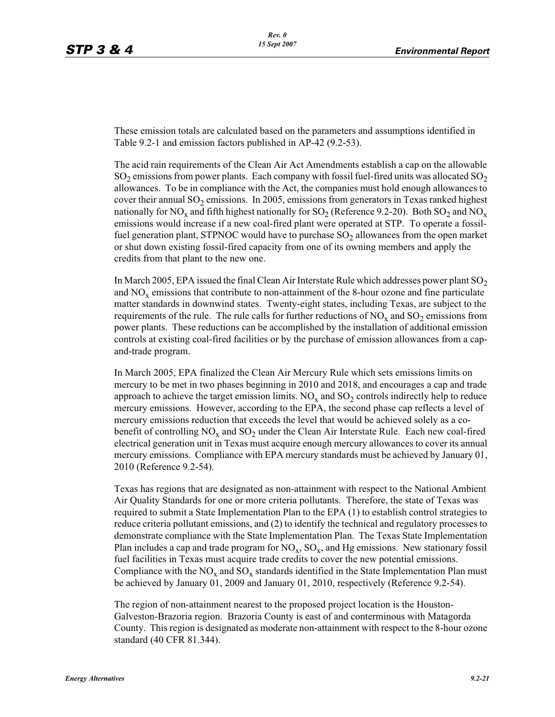These emission totals are calculated based on the parameters and assumptions identified in Table 9.2-1 and emission factors published in AP-42 (9.2-53).

The acid rain requirements of the Clean Air Act Amendments establish a cap on the allowable  $SO_2$  emissions from power plants. Each company with fossil fuel-fired units was allocated  $SO_2$ allowances. To be in compliance with the Act, the companies must hold enough allowances to cover their annual  $SO_2$  emissions. In 2005, emissions from generators in Texas ranked highest nationally for NO<sub>x</sub> and fifth highest nationally for  $SO_2$  (Reference 9.2-20). Both  $SO_2$  and NO<sub>x</sub> emissions would increase if a new coal-fired plant were operated at STP. To operate a fossilfuel generation plant, STPNOC would have to purchase  $SO<sub>2</sub>$  allowances from the open market or shut down existing fossil-fired capacity from one of its owning members and apply the credits from that plant to the new one.

In March 2005, EPA issued the final Clean Air Interstate Rule which addresses power plant  $SO<sub>2</sub>$ and  $NO<sub>x</sub>$  emissions that contribute to non-attainment of the 8-hour ozone and fine particulate matter standards in downwind states. Twenty-eight states, including Texas, are subject to the requirements of the rule. The rule calls for further reductions of  $NO<sub>x</sub>$  and  $SO<sub>2</sub>$  emissions from power plants. These reductions can be accomplished by the installation of additional emission controls at existing coal-fired facilities or by the purchase of emission allowances from a capand-trade program.

In March 2005, EPA finalized the Clean Air Mercury Rule which sets emissions limits on mercury to be met in two phases beginning in 2010 and 2018, and encourages a cap and trade approach to achieve the target emission limits.  $NO<sub>x</sub>$  and  $SO<sub>2</sub>$  controls indirectly help to reduce mercury emissions. However, according to the EPA, the second phase cap reflects a level of mercury emissions reduction that exceeds the level that would be achieved solely as a cobenefit of controlling  $NO<sub>x</sub>$  and  $SO<sub>2</sub>$  under the Clean Air Interstate Rule. Each new coal-fired electrical generation unit in Texas must acquire enough mercury allowances to cover its annual mercury emissions. Compliance with EPA mercury standards must be achieved by January 01, 2010 (Reference 9.2-54).

Texas has regions that are designated as non-attainment with respect to the National Ambient Air Quality Standards for one or more criteria pollutants. Therefore, the state of Texas was required to submit a State Implementation Plan to the EPA (1) to establish control strategies to reduce criteria pollutant emissions, and (2) to identify the technical and regulatory processes to demonstrate compliance with the State Implementation Plan. The Texas State Implementation Plan includes a cap and trade program for  $NO_x$ ,  $SO_x$ , and Hg emissions. New stationary fossil fuel facilities in Texas must acquire trade credits to cover the new potential emissions. Compliance with the  $NO_x$  and  $SO_x$  standards identified in the State Implementation Plan must be achieved by January 01, 2009 and January 01, 2010, respectively (Reference 9.2-54).

The region of non-attainment nearest to the proposed project location is the Houston-Galveston-Brazoria region. Brazoria County is east of and conterminous with Matagorda County. This region is designated as moderate non-attainment with respect to the 8-hour ozone standard (40 CFR 81.344).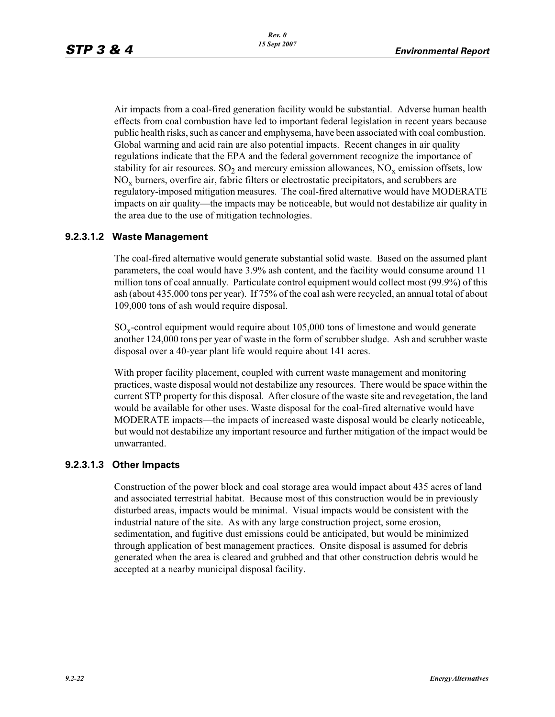Air impacts from a coal-fired generation facility would be substantial. Adverse human health effects from coal combustion have led to important federal legislation in recent years because public health risks, such as cancer and emphysema, have been associated with coal combustion. Global warming and acid rain are also potential impacts. Recent changes in air quality regulations indicate that the EPA and the federal government recognize the importance of stability for air resources.  $SO_2$  and mercury emission allowances,  $NO_x$  emission offsets, low  $NO<sub>x</sub>$  burners, overfire air, fabric filters or electrostatic precipitators, and scrubbers are regulatory-imposed mitigation measures. The coal-fired alternative would have MODERATE impacts on air quality—the impacts may be noticeable, but would not destabilize air quality in the area due to the use of mitigation technologies.

### **9.2.3.1.2 Waste Management**

The coal-fired alternative would generate substantial solid waste. Based on the assumed plant parameters, the coal would have 3.9% ash content, and the facility would consume around 11 million tons of coal annually. Particulate control equipment would collect most (99.9%) of this ash (about 435,000 tons per year). If 75% of the coal ash were recycled, an annual total of about 109,000 tons of ash would require disposal.

 $\text{SO}_x$ -control equipment would require about 105,000 tons of limestone and would generate another 124,000 tons per year of waste in the form of scrubber sludge. Ash and scrubber waste disposal over a 40-year plant life would require about 141 acres.

With proper facility placement, coupled with current waste management and monitoring practices, waste disposal would not destabilize any resources. There would be space within the current STP property for this disposal. After closure of the waste site and revegetation, the land would be available for other uses. Waste disposal for the coal-fired alternative would have MODERATE impacts—the impacts of increased waste disposal would be clearly noticeable, but would not destabilize any important resource and further mitigation of the impact would be unwarranted.

#### **9.2.3.1.3 Other Impacts**

Construction of the power block and coal storage area would impact about 435 acres of land and associated terrestrial habitat. Because most of this construction would be in previously disturbed areas, impacts would be minimal. Visual impacts would be consistent with the industrial nature of the site. As with any large construction project, some erosion, sedimentation, and fugitive dust emissions could be anticipated, but would be minimized through application of best management practices. Onsite disposal is assumed for debris generated when the area is cleared and grubbed and that other construction debris would be accepted at a nearby municipal disposal facility.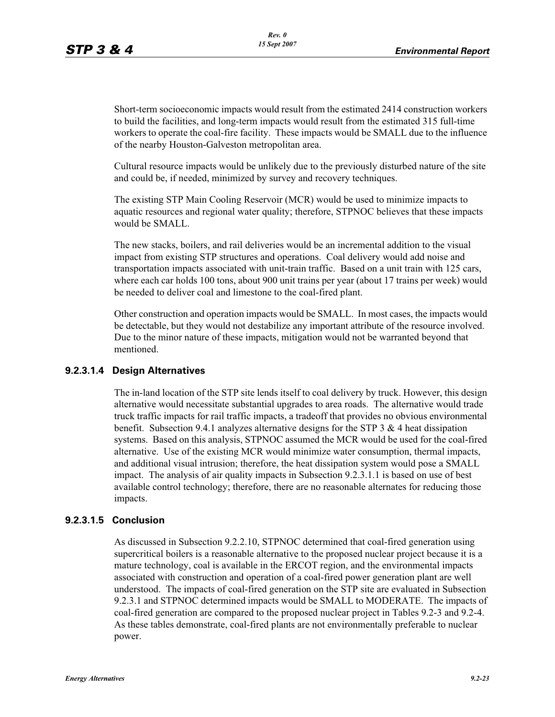Short-term socioeconomic impacts would result from the estimated 2414 construction workers to build the facilities, and long-term impacts would result from the estimated 315 full-time workers to operate the coal-fire facility. These impacts would be SMALL due to the influence of the nearby Houston-Galveston metropolitan area.

Cultural resource impacts would be unlikely due to the previously disturbed nature of the site and could be, if needed, minimized by survey and recovery techniques.

The existing STP Main Cooling Reservoir (MCR) would be used to minimize impacts to aquatic resources and regional water quality; therefore, STPNOC believes that these impacts would be SMALL.

The new stacks, boilers, and rail deliveries would be an incremental addition to the visual impact from existing STP structures and operations. Coal delivery would add noise and transportation impacts associated with unit-train traffic. Based on a unit train with 125 cars, where each car holds 100 tons, about 900 unit trains per year (about 17 trains per week) would be needed to deliver coal and limestone to the coal-fired plant.

Other construction and operation impacts would be SMALL. In most cases, the impacts would be detectable, but they would not destabilize any important attribute of the resource involved. Due to the minor nature of these impacts, mitigation would not be warranted beyond that mentioned.

#### **9.2.3.1.4 Design Alternatives**

The in-land location of the STP site lends itself to coal delivery by truck. However, this design alternative would necessitate substantial upgrades to area roads. The alternative would trade truck traffic impacts for rail traffic impacts, a tradeoff that provides no obvious environmental benefit. Subsection 9.4.1 analyzes alternative designs for the STP 3  $\&$  4 heat dissipation systems. Based on this analysis, STPNOC assumed the MCR would be used for the coal-fired alternative. Use of the existing MCR would minimize water consumption, thermal impacts, and additional visual intrusion; therefore, the heat dissipation system would pose a SMALL impact. The analysis of air quality impacts in Subsection 9.2.3.1.1 is based on use of best available control technology; therefore, there are no reasonable alternates for reducing those impacts.

#### **9.2.3.1.5 Conclusion**

As discussed in Subsection 9.2.2.10, STPNOC determined that coal-fired generation using supercritical boilers is a reasonable alternative to the proposed nuclear project because it is a mature technology, coal is available in the ERCOT region, and the environmental impacts associated with construction and operation of a coal-fired power generation plant are well understood. The impacts of coal-fired generation on the STP site are evaluated in Subsection 9.2.3.1 and STPNOC determined impacts would be SMALL to MODERATE. The impacts of coal-fired generation are compared to the proposed nuclear project in Tables 9.2-3 and 9.2-4. As these tables demonstrate, coal-fired plants are not environmentally preferable to nuclear power.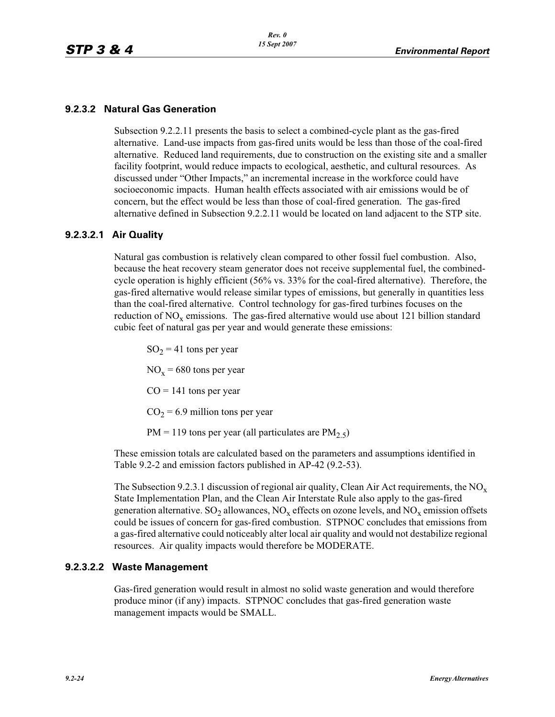## **9.2.3.2 Natural Gas Generation**

Subsection 9.2.2.11 presents the basis to select a combined-cycle plant as the gas-fired alternative. Land-use impacts from gas-fired units would be less than those of the coal-fired alternative. Reduced land requirements, due to construction on the existing site and a smaller facility footprint, would reduce impacts to ecological, aesthetic, and cultural resources. As discussed under "Other Impacts," an incremental increase in the workforce could have socioeconomic impacts. Human health effects associated with air emissions would be of concern, but the effect would be less than those of coal-fired generation. The gas-fired alternative defined in Subsection 9.2.2.11 would be located on land adjacent to the STP site.

#### **9.2.3.2.1 Air Quality**

Natural gas combustion is relatively clean compared to other fossil fuel combustion. Also, because the heat recovery steam generator does not receive supplemental fuel, the combinedcycle operation is highly efficient (56% vs. 33% for the coal-fired alternative). Therefore, the gas-fired alternative would release similar types of emissions, but generally in quantities less than the coal-fired alternative. Control technology for gas-fired turbines focuses on the reduction of  $NO<sub>x</sub>$  emissions. The gas-fired alternative would use about 121 billion standard cubic feet of natural gas per year and would generate these emissions:

 $SO_2 = 41$  tons per year  $NO<sub>x</sub> = 680$  tons per year  $CO = 141$  tons per year  $CO<sub>2</sub> = 6.9$  million tons per year  $PM = 119$  tons per year (all particulates are  $PM_{2.5}$ )

These emission totals are calculated based on the parameters and assumptions identified in Table 9.2-2 and emission factors published in AP-42 (9.2-53).

The Subsection 9.2.3.1 discussion of regional air quality, Clean Air Act requirements, the  $NO_x$ State Implementation Plan, and the Clean Air Interstate Rule also apply to the gas-fired generation alternative.  $SO_2$  allowances,  $NO_x$  effects on ozone levels, and  $NO_x$  emission offsets could be issues of concern for gas-fired combustion. STPNOC concludes that emissions from a gas-fired alternative could noticeably alter local air quality and would not destabilize regional resources. Air quality impacts would therefore be MODERATE.

#### **9.2.3.2.2 Waste Management**

Gas-fired generation would result in almost no solid waste generation and would therefore produce minor (if any) impacts. STPNOC concludes that gas-fired generation waste management impacts would be SMALL.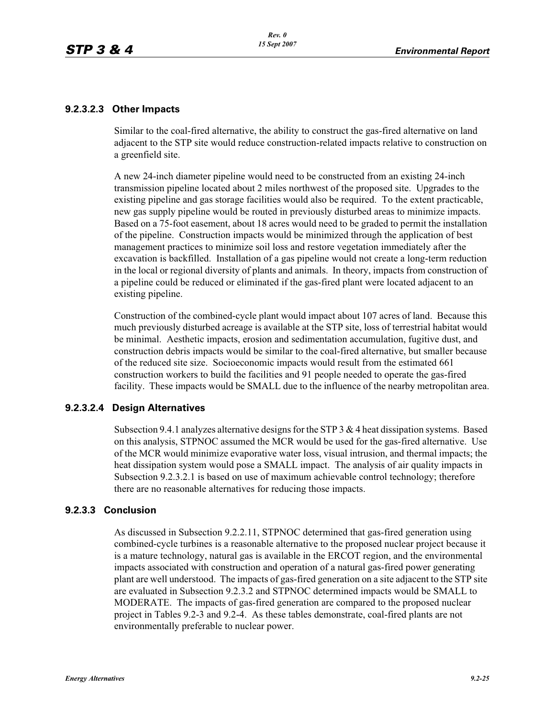#### **9.2.3.2.3 Other Impacts**

Similar to the coal-fired alternative, the ability to construct the gas-fired alternative on land adjacent to the STP site would reduce construction-related impacts relative to construction on a greenfield site.

A new 24-inch diameter pipeline would need to be constructed from an existing 24-inch transmission pipeline located about 2 miles northwest of the proposed site. Upgrades to the existing pipeline and gas storage facilities would also be required. To the extent practicable, new gas supply pipeline would be routed in previously disturbed areas to minimize impacts. Based on a 75-foot easement, about 18 acres would need to be graded to permit the installation of the pipeline. Construction impacts would be minimized through the application of best management practices to minimize soil loss and restore vegetation immediately after the excavation is backfilled. Installation of a gas pipeline would not create a long-term reduction in the local or regional diversity of plants and animals. In theory, impacts from construction of a pipeline could be reduced or eliminated if the gas-fired plant were located adjacent to an existing pipeline.

Construction of the combined-cycle plant would impact about 107 acres of land. Because this much previously disturbed acreage is available at the STP site, loss of terrestrial habitat would be minimal. Aesthetic impacts, erosion and sedimentation accumulation, fugitive dust, and construction debris impacts would be similar to the coal-fired alternative, but smaller because of the reduced site size. Socioeconomic impacts would result from the estimated 661 construction workers to build the facilities and 91 people needed to operate the gas-fired facility. These impacts would be SMALL due to the influence of the nearby metropolitan area.

## **9.2.3.2.4 Design Alternatives**

Subsection 9.4.1 analyzes alternative designs for the STP  $3 \& 4$  heat dissipation systems. Based on this analysis, STPNOC assumed the MCR would be used for the gas-fired alternative. Use of the MCR would minimize evaporative water loss, visual intrusion, and thermal impacts; the heat dissipation system would pose a SMALL impact. The analysis of air quality impacts in Subsection 9.2.3.2.1 is based on use of maximum achievable control technology; therefore there are no reasonable alternatives for reducing those impacts.

#### **9.2.3.3 Conclusion**

As discussed in Subsection 9.2.2.11, STPNOC determined that gas-fired generation using combined-cycle turbines is a reasonable alternative to the proposed nuclear project because it is a mature technology, natural gas is available in the ERCOT region, and the environmental impacts associated with construction and operation of a natural gas-fired power generating plant are well understood. The impacts of gas-fired generation on a site adjacent to the STP site are evaluated in Subsection 9.2.3.2 and STPNOC determined impacts would be SMALL to MODERATE. The impacts of gas-fired generation are compared to the proposed nuclear project in Tables 9.2-3 and 9.2-4. As these tables demonstrate, coal-fired plants are not environmentally preferable to nuclear power.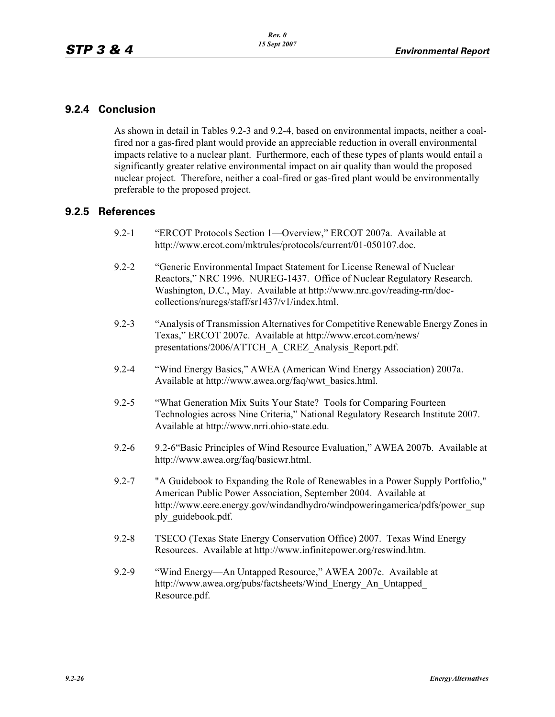## **9.2.4 Conclusion**

As shown in detail in Tables 9.2-3 and 9.2-4, based on environmental impacts, neither a coalfired nor a gas-fired plant would provide an appreciable reduction in overall environmental impacts relative to a nuclear plant. Furthermore, each of these types of plants would entail a significantly greater relative environmental impact on air quality than would the proposed nuclear project. Therefore, neither a coal-fired or gas-fired plant would be environmentally preferable to the proposed project.

## **9.2.5 References**

- 9.2-1 "ERCOT Protocols Section 1—Overview," ERCOT 2007a. Available at http://www.ercot.com/mktrules/protocols/current/01-050107.doc.
- 9.2-2 "Generic Environmental Impact Statement for License Renewal of Nuclear Reactors," NRC 1996. NUREG-1437. Office of Nuclear Regulatory Research. Washington, D.C., May. Available at http://www.nrc.gov/reading-rm/doccollections/nuregs/staff/sr1437/v1/index.html.
- 9.2-3 "Analysis of Transmission Alternatives for Competitive Renewable Energy Zones in Texas," ERCOT 2007c. Available at http://www.ercot.com/news/ presentations/2006/ATTCH\_A\_CREZ\_Analysis\_Report.pdf.
- 9.2-4 "Wind Energy Basics," AWEA (American Wind Energy Association) 2007a. Available at http://www.awea.org/faq/wwt\_basics.html.
- 9.2-5 "What Generation Mix Suits Your State? Tools for Comparing Fourteen Technologies across Nine Criteria," National Regulatory Research Institute 2007. Available at http://www.nrri.ohio-state.edu.
- 9.2-6 9.2-6"Basic Principles of Wind Resource Evaluation," AWEA 2007b. Available at http://www.awea.org/faq/basicwr.html.
- 9.2-7 "A Guidebook to Expanding the Role of Renewables in a Power Supply Portfolio," American Public Power Association, September 2004. Available at http://www.eere.energy.gov/windandhydro/windpoweringamerica/pdfs/power\_sup ply\_guidebook.pdf.
- 9.2-8 TSECO (Texas State Energy Conservation Office) 2007. Texas Wind Energy Resources. Available at http://www.infinitepower.org/reswind.htm.
- 9.2-9 "Wind Energy—An Untapped Resource," AWEA 2007c. Available at http://www.awea.org/pubs/factsheets/Wind\_Energy\_An\_Untapped\_ Resource.pdf.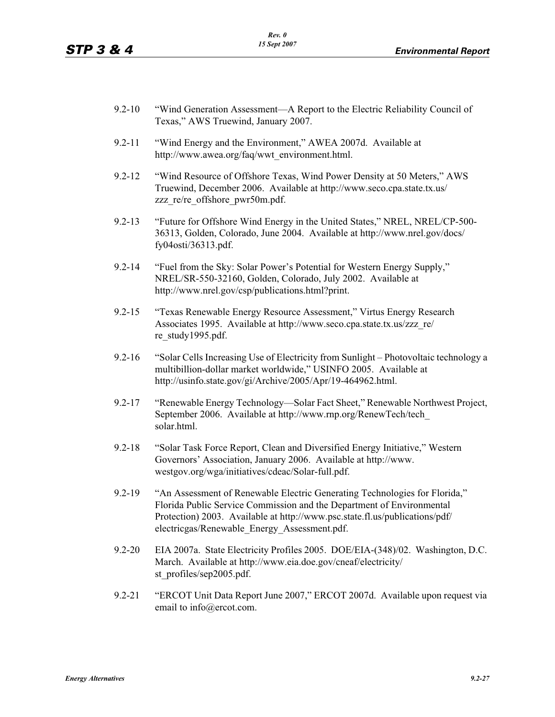- 9.2-10 "Wind Generation Assessment—A Report to the Electric Reliability Council of Texas," AWS Truewind, January 2007.
- 9.2-11 "Wind Energy and the Environment," AWEA 2007d. Available at http://www.awea.org/faq/wwt\_environment.html.
- 9.2-12 "Wind Resource of Offshore Texas, Wind Power Density at 50 Meters," AWS Truewind, December 2006. Available at http://www.seco.cpa.state.tx.us/ zzz\_re/re\_offshore\_pwr50m.pdf.
- 9.2-13 "Future for Offshore Wind Energy in the United States," NREL, NREL/CP-500- 36313, Golden, Colorado, June 2004. Available at http://www.nrel.gov/docs/ fy04osti/36313.pdf.
- 9.2-14 "Fuel from the Sky: Solar Power's Potential for Western Energy Supply," NREL/SR-550-32160, Golden, Colorado, July 2002. Available at http://www.nrel.gov/csp/publications.html?print.
- 9.2-15 "Texas Renewable Energy Resource Assessment," Virtus Energy Research Associates 1995. Available at http://www.seco.cpa.state.tx.us/zzz\_re/ re\_study1995.pdf.
- 9.2-16 "Solar Cells Increasing Use of Electricity from Sunlight Photovoltaic technology a multibillion-dollar market worldwide," USINFO 2005. Available at http://usinfo.state.gov/gi/Archive/2005/Apr/19-464962.html.
- 9.2-17 "Renewable Energy Technology—Solar Fact Sheet," Renewable Northwest Project, September 2006. Available at http://www.rnp.org/RenewTech/tech\_ solar.html.
- 9.2-18 "Solar Task Force Report, Clean and Diversified Energy Initiative," Western Governors' Association, January 2006. Available at http://www. westgov.org/wga/initiatives/cdeac/Solar-full.pdf.
- 9.2-19 "An Assessment of Renewable Electric Generating Technologies for Florida," Florida Public Service Commission and the Department of Environmental Protection) 2003. Available at http://www.psc.state.fl.us/publications/pdf/ electricgas/Renewable\_Energy\_Assessment.pdf.
- 9.2-20 EIA 2007a. State Electricity Profiles 2005. DOE/EIA-(348)/02. Washington, D.C. March. Available at http://www.eia.doe.gov/cneaf/electricity/ st\_profiles/sep2005.pdf.
- 9.2-21 "ERCOT Unit Data Report June 2007," ERCOT 2007d. Available upon request via email to info@ercot.com.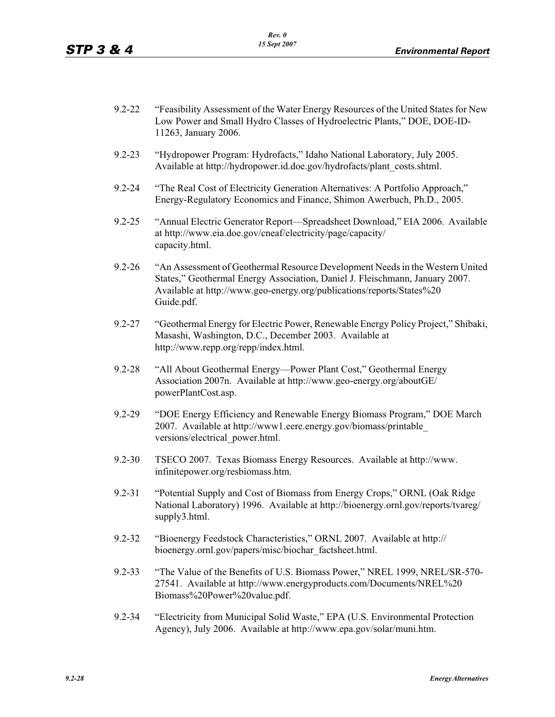- 9.2-22 "Feasibility Assessment of the Water Energy Resources of the United States for New Low Power and Small Hydro Classes of Hydroelectric Plants," DOE, DOE-ID-11263, January 2006.
- 9.2-23 "Hydropower Program: Hydrofacts," Idaho National Laboratory, July 2005. Available at http://hydropower.id.doe.gov/hydrofacts/plant\_costs.shtml.
- 9.2-24 "The Real Cost of Electricity Generation Alternatives: A Portfolio Approach," Energy-Regulatory Economics and Finance, Shimon Awerbuch, Ph.D., 2005.
- 9.2-25 "Annual Electric Generator Report—Spreadsheet Download," EIA 2006. Available at http://www.eia.doe.gov/cneaf/electricity/page/capacity/ capacity.html.
- 9.2-26 "An Assessment of Geothermal Resource Development Needs in the Western United States," Geothermal Energy Association, Daniel J. Fleischmann, January 2007. Available at http://www.geo-energy.org/publications/reports/States%20 Guide.pdf.
- 9.2-27 "Geothermal Energy for Electric Power, Renewable Energy Policy Project," Shibaki, Masashi, Washington, D.C., December 2003. Available at http://www.repp.org/repp/index.html.
- 9.2-28 "All About Geothermal Energy—Power Plant Cost," Geothermal Energy Association 2007n. Available at http://www.geo-energy.org/aboutGE/ powerPlantCost.asp.
- 9.2-29 "DOE Energy Efficiency and Renewable Energy Biomass Program," DOE March 2007. Available at http://www1.eere.energy.gov/biomass/printable\_ versions/electrical\_power.html.
- 9.2-30 TSECO 2007. Texas Biomass Energy Resources. Available at http://www. infinitepower.org/resbiomass.htm.
- 9.2-31 "Potential Supply and Cost of Biomass from Energy Crops," ORNL (Oak Ridge National Laboratory) 1996. Available at http://bioenergy.ornl.gov/reports/tvareg/ supply3.html.
- 9.2-32 "Bioenergy Feedstock Characteristics," ORNL 2007. Available at http:// bioenergy.ornl.gov/papers/misc/biochar\_factsheet.html.
- 9.2-33 "The Value of the Benefits of U.S. Biomass Power," NREL 1999, NREL/SR-570- 27541. Available at http://www.energyproducts.com/Documents/NREL%20 Biomass%20Power%20value.pdf.
- 9.2-34 "Electricity from Municipal Solid Waste," EPA (U.S. Environmental Protection Agency), July 2006. Available at http://www.epa.gov/solar/muni.htm.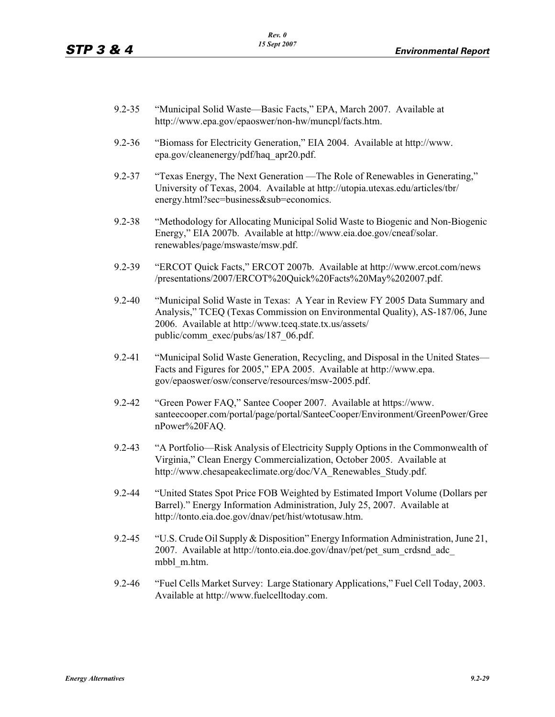- 9.2-35 "Municipal Solid Waste—Basic Facts," EPA, March 2007. Available at http://www.epa.gov/epaoswer/non-hw/muncpl/facts.htm.
- 9.2-36 "Biomass for Electricity Generation," EIA 2004. Available at http://www. epa.gov/cleanenergy/pdf/haq\_apr20.pdf.
- 9.2-37 "Texas Energy, The Next Generation —The Role of Renewables in Generating," University of Texas, 2004. Available at http://utopia.utexas.edu/articles/tbr/ energy.html?sec=business&sub=economics.
- 9.2-38 "Methodology for Allocating Municipal Solid Waste to Biogenic and Non-Biogenic Energy," EIA 2007b. Available at http://www.eia.doe.gov/cneaf/solar. renewables/page/mswaste/msw.pdf.
- 9.2-39 "ERCOT Quick Facts," ERCOT 2007b. Available at http://www.ercot.com/news /presentations/2007/ERCOT%20Quick%20Facts%20May%202007.pdf.
- 9.2-40 "Municipal Solid Waste in Texas: A Year in Review FY 2005 Data Summary and Analysis," TCEQ (Texas Commission on Environmental Quality), AS-187/06, June 2006. Available at http://www.tceq.state.tx.us/assets/ public/comm\_exec/pubs/as/187\_06.pdf.
- 9.2-41 "Municipal Solid Waste Generation, Recycling, and Disposal in the United States— Facts and Figures for 2005," EPA 2005. Available at http://www.epa. gov/epaoswer/osw/conserve/resources/msw-2005.pdf.
- 9.2-42 "Green Power FAQ," Santee Cooper 2007. Available at https://www. santeecooper.com/portal/page/portal/SanteeCooper/Environment/GreenPower/Gree nPower%20FAQ.
- 9.2-43 "A Portfolio—Risk Analysis of Electricity Supply Options in the Commonwealth of Virginia," Clean Energy Commercialization, October 2005. Available at http://www.chesapeakeclimate.org/doc/VA\_Renewables\_Study.pdf.
- 9.2-44 "United States Spot Price FOB Weighted by Estimated Import Volume (Dollars per Barrel)." Energy Information Administration, July 25, 2007. Available at http://tonto.eia.doe.gov/dnav/pet/hist/wtotusaw.htm.
- 9.2-45 "U.S. Crude Oil Supply & Disposition" Energy Information Administration, June 21, 2007. Available at http://tonto.eia.doe.gov/dnav/pet/pet\_sum\_crdsnd\_adc\_ mbbl\_m.htm.
- 9.2-46 "Fuel Cells Market Survey: Large Stationary Applications," Fuel Cell Today, 2003. Available at http://www.fuelcelltoday.com.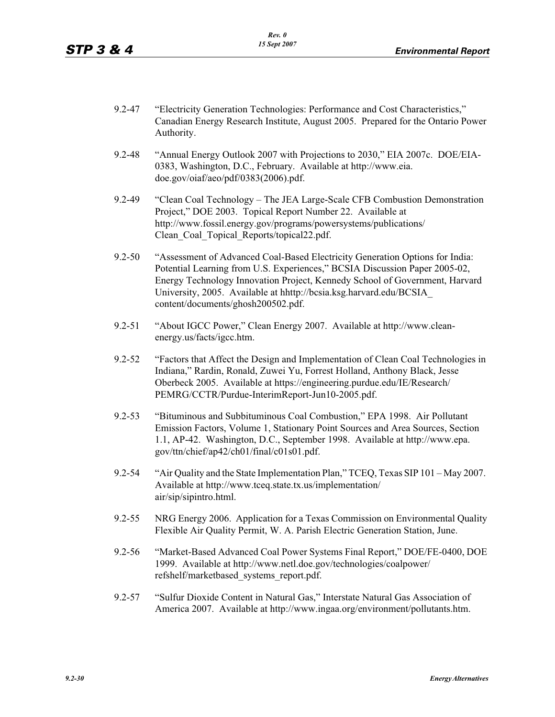- 9.2-47 "Electricity Generation Technologies: Performance and Cost Characteristics," Canadian Energy Research Institute, August 2005. Prepared for the Ontario Power Authority.
- 9.2-48 "Annual Energy Outlook 2007 with Projections to 2030," EIA 2007c. DOE/EIA-0383, Washington, D.C., February. Available at http://www.eia. doe.gov/oiaf/aeo/pdf/0383(2006).pdf.
- 9.2-49 "Clean Coal Technology The JEA Large-Scale CFB Combustion Demonstration Project," DOE 2003. Topical Report Number 22. Available at http://www.fossil.energy.gov/programs/powersystems/publications/ Clean Coal Topical Reports/topical22.pdf.
- 9.2-50 "Assessment of Advanced Coal-Based Electricity Generation Options for India: Potential Learning from U.S. Experiences," BCSIA Discussion Paper 2005-02, Energy Technology Innovation Project, Kennedy School of Government, Harvard University, 2005. Available at hhttp://bcsia.ksg.harvard.edu/BCSIA\_ content/documents/ghosh200502.pdf.
- 9.2-51 "About IGCC Power," Clean Energy 2007. Available at http://www.cleanenergy.us/facts/igcc.htm.
- 9.2-52 "Factors that Affect the Design and Implementation of Clean Coal Technologies in Indiana," Rardin, Ronald, Zuwei Yu, Forrest Holland, Anthony Black, Jesse Oberbeck 2005. Available at https://engineering.purdue.edu/IE/Research/ PEMRG/CCTR/Purdue-InterimReport-Jun10-2005.pdf.
- 9.2-53 "Bituminous and Subbituminous Coal Combustion," EPA 1998. Air Pollutant Emission Factors, Volume 1, Stationary Point Sources and Area Sources, Section 1.1, AP-42. Washington, D.C., September 1998. Available at http://www.epa. gov/ttn/chief/ap42/ch01/final/c01s01.pdf.
- 9.2-54 "Air Quality and the State Implementation Plan," TCEQ, Texas SIP 101 May 2007. Available at http://www.tceq.state.tx.us/implementation/ air/sip/sipintro.html.
- 9.2-55 NRG Energy 2006. Application for a Texas Commission on Environmental Quality Flexible Air Quality Permit, W. A. Parish Electric Generation Station, June.
- 9.2-56 "Market-Based Advanced Coal Power Systems Final Report," DOE/FE-0400, DOE 1999. Available at http://www.netl.doe.gov/technologies/coalpower/ refshelf/marketbased\_systems\_report.pdf.
- 9.2-57 "Sulfur Dioxide Content in Natural Gas," Interstate Natural Gas Association of America 2007. Available at http://www.ingaa.org/environment/pollutants.htm.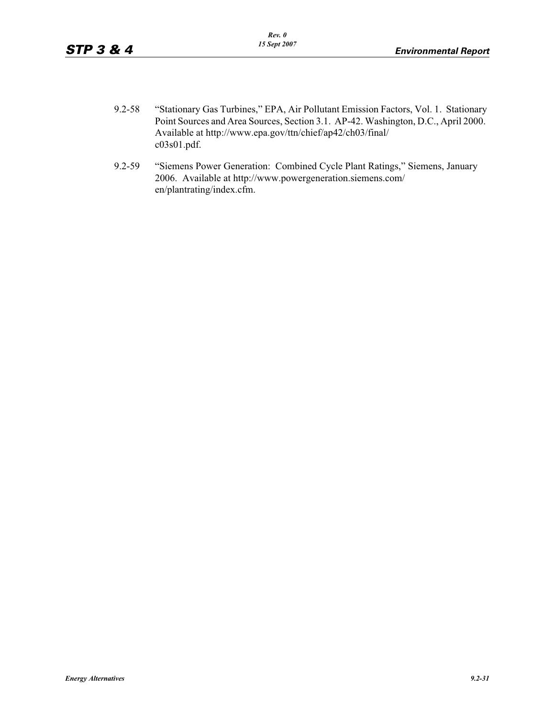- 9.2-58 "Stationary Gas Turbines," EPA, Air Pollutant Emission Factors, Vol. 1. Stationary Point Sources and Area Sources, Section 3.1. AP-42. Washington, D.C., April 2000. Available at http://www.epa.gov/ttn/chief/ap42/ch03/final/ c03s01.pdf.
- 9.2-59 "Siemens Power Generation: Combined Cycle Plant Ratings," Siemens, January 2006. Available at http://www.powergeneration.siemens.com/ en/plantrating/index.cfm.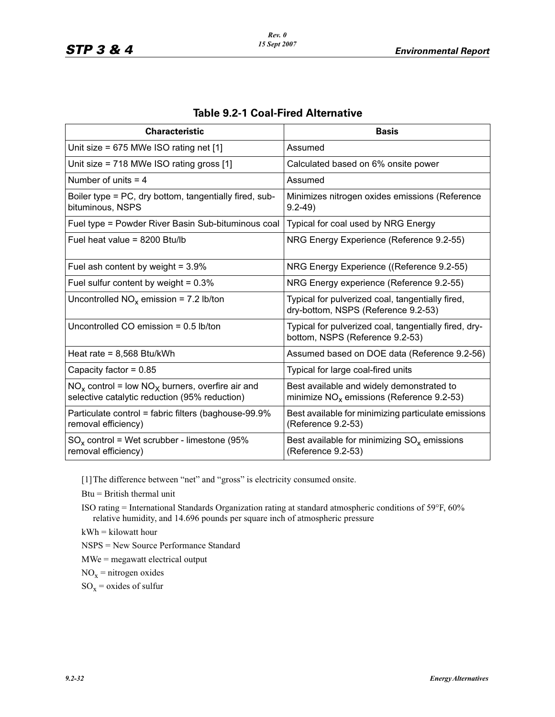| <b>Characteristic</b>                                                                                  | <b>Basis</b>                                                                             |
|--------------------------------------------------------------------------------------------------------|------------------------------------------------------------------------------------------|
| Unit size = $675$ MWe ISO rating net $[1]$                                                             | Assumed                                                                                  |
| Unit size = 718 MWe ISO rating gross [1]                                                               | Calculated based on 6% onsite power                                                      |
| Number of units $=$ 4                                                                                  | Assumed                                                                                  |
| Boiler type = PC, dry bottom, tangentially fired, sub-<br>bituminous, NSPS                             | Minimizes nitrogen oxides emissions (Reference<br>$9.2 - 49$                             |
| Fuel type = Powder River Basin Sub-bituminous coal                                                     | Typical for coal used by NRG Energy                                                      |
| Fuel heat value = $8200$ Btu/lb                                                                        | NRG Energy Experience (Reference 9.2-55)                                                 |
| Fuel ash content by weight = $3.9\%$                                                                   | NRG Energy Experience ((Reference 9.2-55)                                                |
| Fuel sulfur content by weight = $0.3\%$                                                                | NRG Energy experience (Reference 9.2-55)                                                 |
| Uncontrolled $NO_x$ emission = 7.2 lb/ton                                                              | Typical for pulverized coal, tangentially fired,<br>dry-bottom, NSPS (Reference 9.2-53)  |
| Uncontrolled CO emission $= 0.5$ lb/ton                                                                | Typical for pulverized coal, tangentially fired, dry-<br>bottom, NSPS (Reference 9.2-53) |
| Heat rate = $8,568$ Btu/kWh                                                                            | Assumed based on DOE data (Reference 9.2-56)                                             |
| Capacity factor = $0.85$                                                                               | Typical for large coal-fired units                                                       |
| $NO_x$ control = low $NO_x$ burners, overfire air and<br>selective catalytic reduction (95% reduction) | Best available and widely demonstrated to<br>minimize $NOx$ emissions (Reference 9.2-53) |
| Particulate control = fabric filters (baghouse-99.9%<br>removal efficiency)                            | Best available for minimizing particulate emissions<br>(Reference 9.2-53)                |
| $SO_x$ control = Wet scrubber - limestone (95%<br>removal efficiency)                                  | Best available for minimizing $SO_x$ emissions<br>(Reference 9.2-53)                     |

### **Table 9.2-1 Coal-Fired Alternative**

[1]The difference between "net" and "gross" is electricity consumed onsite.

Btu = British thermal unit

ISO rating = International Standards Organization rating at standard atmospheric conditions of 59°F, 60% relative humidity, and 14.696 pounds per square inch of atmospheric pressure

kWh = kilowatt hour

NSPS = New Source Performance Standard

MWe = megawatt electrical output

 $NO<sub>x</sub>$  = nitrogen oxides

 $SO_x$  = oxides of sulfur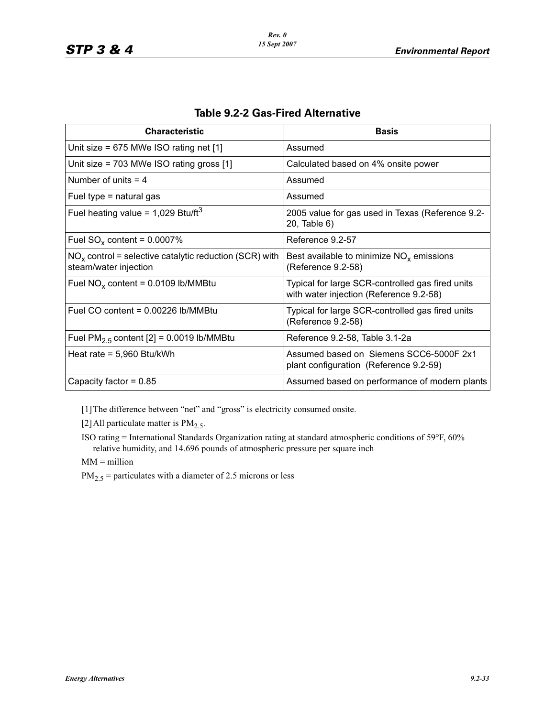| <b>Characteristic</b>                                                             | <b>Basis</b>                                                                                |
|-----------------------------------------------------------------------------------|---------------------------------------------------------------------------------------------|
| Unit size = $675$ MWe ISO rating net [1]                                          | Assumed                                                                                     |
| Unit size = $703$ MWe ISO rating gross $[1]$                                      | Calculated based on 4% onsite power                                                         |
| Number of units $=$ 4                                                             | Assumed                                                                                     |
| Fuel type = natural gas                                                           | Assumed                                                                                     |
| Fuel heating value = $1,029$ Btu/ft <sup>3</sup>                                  | 2005 value for gas used in Texas (Reference 9.2-<br>20, Table 6)                            |
| Fuel $SO_x$ content = 0.0007%                                                     | Reference 9.2-57                                                                            |
| $NOx$ control = selective catalytic reduction (SCR) with<br>steam/water injection | Best available to minimize $NOx$ emissions<br>(Reference 9.2-58)                            |
| Fuel $NO_x$ content = 0.0109 lb/MMBtu                                             | Typical for large SCR-controlled gas fired units<br>with water injection (Reference 9.2-58) |
| Fuel CO content = $0.00226$ lb/MMBtu                                              | Typical for large SCR-controlled gas fired units<br>(Reference 9.2-58)                      |
| Fuel $PM2.5$ content [2] = 0.0019 lb/MMBtu                                        | Reference 9.2-58, Table 3.1-2a                                                              |
| Heat rate = $5,960$ Btu/kWh                                                       | Assumed based on Siemens SCC6-5000F 2x1<br>plant configuration (Reference 9.2-59)           |
| Capacity factor = $0.85$                                                          | Assumed based on performance of modern plants                                               |

## **Table 9.2-2 Gas-Fired Alternative**

[1]The difference between "net" and "gross" is electricity consumed onsite.

[2] All particulate matter is  $PM<sub>2.5</sub>$ .

ISO rating = International Standards Organization rating at standard atmospheric conditions of 59°F, 60% relative humidity, and 14.696 pounds of atmospheric pressure per square inch

MM = million

 $PM_{2.5}$  = particulates with a diameter of 2.5 microns or less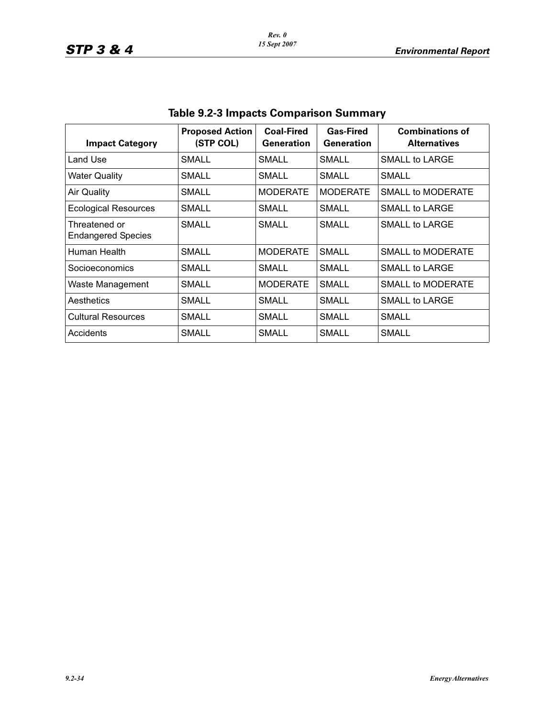| <b>Impact Category</b>                     | <b>Proposed Action</b><br>(STP COL) | <b>Coal-Fired</b><br><b>Generation</b> | <b>Gas-Fired</b><br><b>Generation</b> | <b>Combinations of</b><br><b>Alternatives</b> |
|--------------------------------------------|-------------------------------------|----------------------------------------|---------------------------------------|-----------------------------------------------|
| Land Use                                   | SMALL                               | <b>SMALL</b>                           | SMALL                                 | <b>SMALL to LARGE</b>                         |
| <b>Water Quality</b>                       | SMALL                               | <b>SMALL</b>                           | <b>SMALL</b>                          | <b>SMALL</b>                                  |
| <b>Air Quality</b>                         | <b>SMALL</b>                        | <b>MODERATE</b>                        | <b>MODERATE</b>                       | <b>SMALL to MODERATE</b>                      |
| <b>Ecological Resources</b>                | SMALL                               | SMALL                                  | SMALL                                 | <b>SMALL to LARGE</b>                         |
| Threatened or<br><b>Endangered Species</b> | <b>SMALL</b>                        | <b>SMALL</b>                           | <b>SMALL</b>                          | SMALL to LARGE                                |
| Human Health                               | SMALL                               | <b>MODERATE</b>                        | SMALL                                 | <b>SMALL to MODERATE</b>                      |
| Socioeconomics                             | SMALL                               | SMALL                                  | SMALL                                 | SMALL to LARGE                                |
| Waste Management                           | SMALL                               | <b>MODERATE</b>                        | SMALL                                 | <b>SMALL to MODERATE</b>                      |
| Aesthetics                                 | SMALL                               | SMALL                                  | SMALL                                 | <b>SMALL to LARGE</b>                         |
| <b>Cultural Resources</b>                  | <b>SMALL</b>                        | <b>SMALL</b>                           | <b>SMALL</b>                          | <b>SMALL</b>                                  |
| Accidents                                  | SMALL                               | SMALL                                  | SMALL                                 | SMALL                                         |

# **Table 9.2-3 Impacts Comparison Summary**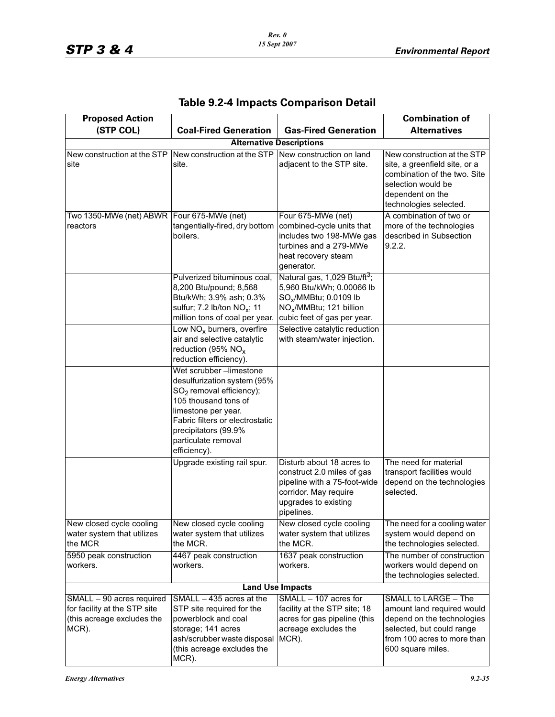| <b>Proposed Action</b>                                                                           |                                                                                                                                                                                                                                       |                                                                                                                                                                                  | <b>Combination of</b>                                                                                                                                             |  |  |
|--------------------------------------------------------------------------------------------------|---------------------------------------------------------------------------------------------------------------------------------------------------------------------------------------------------------------------------------------|----------------------------------------------------------------------------------------------------------------------------------------------------------------------------------|-------------------------------------------------------------------------------------------------------------------------------------------------------------------|--|--|
| (STP COL)                                                                                        | <b>Coal-Fired Generation</b>                                                                                                                                                                                                          | <b>Gas-Fired Generation</b>                                                                                                                                                      | <b>Alternatives</b>                                                                                                                                               |  |  |
|                                                                                                  | <b>Alternative Descriptions</b>                                                                                                                                                                                                       |                                                                                                                                                                                  |                                                                                                                                                                   |  |  |
| New construction at the STP<br>site                                                              | New construction at the STP New construction on land<br>site.                                                                                                                                                                         | adjacent to the STP site.                                                                                                                                                        | New construction at the STP<br>site, a greenfield site, or a<br>combination of the two. Site<br>selection would be<br>dependent on the<br>technologies selected.  |  |  |
| Two 1350-MWe (net) ABWR Four 675-MWe (net)<br>reactors                                           | tangentially-fired, dry bottom<br>boilers.                                                                                                                                                                                            | Four 675-MWe (net)<br>combined-cycle units that<br>includes two 198-MWe gas<br>turbines and a 279-MWe<br>heat recovery steam<br>generator.                                       | A combination of two or<br>more of the technologies<br>described in Subsection<br>9.2.2.                                                                          |  |  |
|                                                                                                  | Pulverized bituminous coal,<br>8,200 Btu/pound; 8,568<br>Btu/kWh; 3.9% ash; 0.3%<br>sulfur; 7.2 lb/ton $NO_x$ ; 11<br>million tons of coal per year.                                                                                  | Natural gas, 1,029 Btu/ft <sup>3</sup> ;<br>5,960 Btu/kWh; 0.00066 lb<br>SO <sub>x</sub> /MMBtu; 0.0109 lb<br>NO <sub>x</sub> /MMBtu; 121 billion<br>cubic feet of gas per year. |                                                                                                                                                                   |  |  |
|                                                                                                  | Low NO <sub>x</sub> burners, overfire<br>air and selective catalytic<br>reduction (95% $NO_x$<br>reduction efficiency).                                                                                                               | Selective catalytic reduction<br>with steam/water injection.                                                                                                                     |                                                                                                                                                                   |  |  |
|                                                                                                  | Wet scrubber -limestone<br>desulfurization system (95%<br>$SO2$ removal efficiency);<br>105 thousand tons of<br>limestone per year.<br>Fabric filters or electrostatic<br>precipitators (99.9%<br>particulate removal<br>efficiency). |                                                                                                                                                                                  |                                                                                                                                                                   |  |  |
|                                                                                                  | Upgrade existing rail spur.                                                                                                                                                                                                           | Disturb about 18 acres to<br>construct 2.0 miles of gas<br>pipeline with a 75-foot-wide<br>corridor. May require<br>upgrades to existing<br>pipelines.                           | The need for material<br>transport facilities would<br>depend on the technologies<br>selected.                                                                    |  |  |
| New closed cycle cooling<br>water system that utilizes<br>the MCR                                | New closed cycle cooling<br>water system that utilizes<br>the MCR.                                                                                                                                                                    | New closed cycle cooling<br>water system that utilizes<br>the MCR.                                                                                                               | The need for a cooling water<br>system would depend on<br>the technologies selected.                                                                              |  |  |
| 5950 peak construction<br>workers.                                                               | 4467 peak construction<br>workers.                                                                                                                                                                                                    | 1637 peak construction<br>workers.                                                                                                                                               | The number of construction<br>workers would depend on<br>the technologies selected.                                                                               |  |  |
| <b>Land Use Impacts</b>                                                                          |                                                                                                                                                                                                                                       |                                                                                                                                                                                  |                                                                                                                                                                   |  |  |
| SMALL - 90 acres required<br>for facility at the STP site<br>(this acreage excludes the<br>MCR). | SMALL - 435 acres at the<br>STP site required for the<br>powerblock and coal<br>storage; 141 acres<br>ash/scrubber waste disposal<br>(this acreage excludes the<br>MCR).                                                              | SMALL - 107 acres for<br>facility at the STP site; 18<br>acres for gas pipeline (this<br>acreage excludes the<br>MCR).                                                           | SMALL to LARGE - The<br>amount land required would<br>depend on the technologies<br>selected, but could range<br>from 100 acres to more than<br>600 square miles. |  |  |

**Table 9.2-4 Impacts Comparison Detail**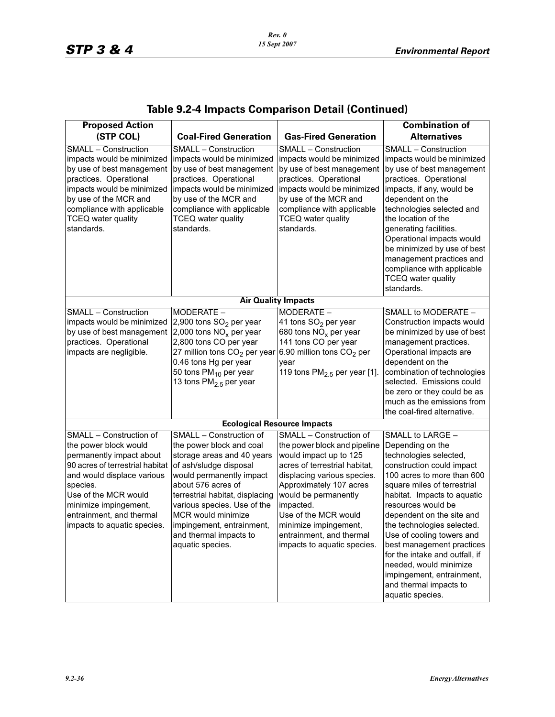| <b>Proposed Action</b>                                                                                                                                                                                                                                                |                                                                                                                                                                                                                                                                                                                                  |                                                                                                                                                                                                                                                                                                                               | <b>Combination of</b>                                                                                                                                                                                                                                                                                                                                                                                                                                                     |  |
|-----------------------------------------------------------------------------------------------------------------------------------------------------------------------------------------------------------------------------------------------------------------------|----------------------------------------------------------------------------------------------------------------------------------------------------------------------------------------------------------------------------------------------------------------------------------------------------------------------------------|-------------------------------------------------------------------------------------------------------------------------------------------------------------------------------------------------------------------------------------------------------------------------------------------------------------------------------|---------------------------------------------------------------------------------------------------------------------------------------------------------------------------------------------------------------------------------------------------------------------------------------------------------------------------------------------------------------------------------------------------------------------------------------------------------------------------|--|
| (STP COL)                                                                                                                                                                                                                                                             | <b>Coal-Fired Generation</b>                                                                                                                                                                                                                                                                                                     | <b>Gas-Fired Generation</b>                                                                                                                                                                                                                                                                                                   | <b>Alternatives</b>                                                                                                                                                                                                                                                                                                                                                                                                                                                       |  |
| SMALL - Construction<br>impacts would be minimized<br>by use of best management<br>practices. Operational<br>impacts would be minimized<br>by use of the MCR and<br>compliance with applicable<br><b>TCEQ</b> water quality<br>standards.                             | <b>SMALL - Construction</b><br>impacts would be minimized<br>by use of best management<br>practices. Operational<br>impacts would be minimized<br>by use of the MCR and<br>compliance with applicable<br><b>TCEQ</b> water quality<br>standards.                                                                                 | <b>SMALL - Construction</b><br>impacts would be minimized<br>by use of best management<br>practices. Operational<br>impacts would be minimized<br>by use of the MCR and<br>compliance with applicable<br><b>TCEQ</b> water quality<br>standards.                                                                              | <b>SMALL - Construction</b><br>impacts would be minimized<br>by use of best management<br>practices. Operational<br>impacts, if any, would be<br>dependent on the<br>technologies selected and<br>the location of the<br>generating facilities.<br>Operational impacts would<br>be minimized by use of best<br>management practices and<br>compliance with applicable<br><b>TCEQ</b> water quality<br>standards.                                                          |  |
|                                                                                                                                                                                                                                                                       |                                                                                                                                                                                                                                                                                                                                  | <b>Air Quality Impacts</b>                                                                                                                                                                                                                                                                                                    |                                                                                                                                                                                                                                                                                                                                                                                                                                                                           |  |
| SMALL - Construction<br>impacts would be minimized<br>by use of best management<br>practices. Operational<br>impacts are negligible.                                                                                                                                  | MODERATE -<br>2,900 tons SO <sub>2</sub> per year<br>2,000 tons $NOx$ per year<br>2,800 tons CO per year<br>27 million tons $CO2$ per year<br>0.46 tons Hg per year<br>50 tons $PM_{10}$ per year<br>13 tons PM <sub>2.5</sub> per year                                                                                          | MODERATE -<br>41 tons SO <sub>2</sub> per year<br>680 tons $NO_x$ per year<br>141 tons CO per year<br>6.90 million tons CO <sub>2</sub> per<br>year<br>119 tons $PM2.5$ per year [1].                                                                                                                                         | SMALL to MODERATE -<br>Construction impacts would<br>be minimized by use of best<br>management practices.<br>Operational impacts are<br>dependent on the<br>combination of technologies<br>selected. Emissions could<br>be zero or they could be as<br>much as the emissions from<br>the coal-fired alternative.                                                                                                                                                          |  |
| <b>Ecological Resource Impacts</b>                                                                                                                                                                                                                                    |                                                                                                                                                                                                                                                                                                                                  |                                                                                                                                                                                                                                                                                                                               |                                                                                                                                                                                                                                                                                                                                                                                                                                                                           |  |
| SMALL - Construction of<br>the power block would<br>permanently impact about<br>90 acres of terrestrial habitat<br>and would displace various<br>species.<br>Use of the MCR would<br>minimize impingement,<br>entrainment, and thermal<br>impacts to aquatic species. | SMALL - Construction of<br>the power block and coal<br>storage areas and 40 years<br>of ash/sludge disposal<br>would permanently impact<br>about 576 acres of<br>terrestrial habitat, displacing<br>various species. Use of the<br>MCR would minimize<br>impingement, entrainment,<br>and thermal impacts to<br>aquatic species. | SMALL - Construction of<br>the power block and pipeline<br>would impact up to 125<br>acres of terrestrial habitat,<br>displacing various species.<br>Approximately 107 acres<br>would be permanently<br>impacted.<br>Use of the MCR would<br>minimize impingement,<br>entrainment, and thermal<br>impacts to aquatic species. | SMALL to LARGE -<br>Depending on the<br>technologies selected,<br>construction could impact<br>100 acres to more than 600<br>square miles of terrestrial<br>habitat. Impacts to aquatic<br>resources would be<br>dependent on the site and<br>the technologies selected.<br>Use of cooling towers and<br>best management practices<br>for the intake and outfall, if<br>needed, would minimize<br>impingement, entrainment,<br>and thermal impacts to<br>aquatic species. |  |

# **Table 9.2-4 Impacts Comparison Detail (Continued)**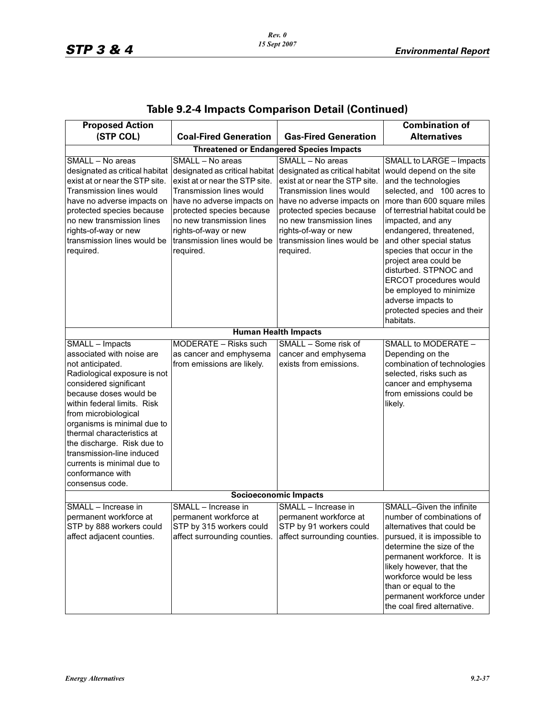| <b>Proposed Action</b>                                                                                                                                                                                                                                                                                                                                                                                   |                                                                                                                                                                                                                                                                                     |                                                                                                                                                                                                                                                                              | <b>Combination of</b>                                                                                                                                                                                                                                                                                                                                                                                                                            |  |
|----------------------------------------------------------------------------------------------------------------------------------------------------------------------------------------------------------------------------------------------------------------------------------------------------------------------------------------------------------------------------------------------------------|-------------------------------------------------------------------------------------------------------------------------------------------------------------------------------------------------------------------------------------------------------------------------------------|------------------------------------------------------------------------------------------------------------------------------------------------------------------------------------------------------------------------------------------------------------------------------|--------------------------------------------------------------------------------------------------------------------------------------------------------------------------------------------------------------------------------------------------------------------------------------------------------------------------------------------------------------------------------------------------------------------------------------------------|--|
| (STP COL)                                                                                                                                                                                                                                                                                                                                                                                                | <b>Coal-Fired Generation</b>                                                                                                                                                                                                                                                        | <b>Gas-Fired Generation</b>                                                                                                                                                                                                                                                  | <b>Alternatives</b>                                                                                                                                                                                                                                                                                                                                                                                                                              |  |
| <b>Threatened or Endangered Species Impacts</b>                                                                                                                                                                                                                                                                                                                                                          |                                                                                                                                                                                                                                                                                     |                                                                                                                                                                                                                                                                              |                                                                                                                                                                                                                                                                                                                                                                                                                                                  |  |
| SMALL - No areas<br>designated as critical habitat<br>exist at or near the STP site.<br><b>Transmission lines would</b><br>have no adverse impacts on<br>protected species because<br>no new transmission lines<br>rights-of-way or new<br>transmission lines would be<br>required.                                                                                                                      | SMALL - No areas<br>designated as critical habitat<br>exist at or near the STP site.<br><b>Transmission lines would</b><br>have no adverse impacts on<br>protected species because<br>no new transmission lines<br>rights-of-way or new<br>transmission lines would be<br>required. | SMALL - No areas<br>designated as critical habitat<br>exist at or near the STP site.<br>Transmission lines would<br>have no adverse impacts on<br>protected species because<br>no new transmission lines<br>rights-of-way or new<br>transmission lines would be<br>required. | SMALL to LARGE - Impacts<br>would depend on the site<br>and the technologies<br>selected, and 100 acres to<br>more than 600 square miles<br>of terrestrial habitat could be<br>impacted, and any<br>endangered, threatened,<br>and other special status<br>species that occur in the<br>project area could be<br>disturbed. STPNOC and<br>ERCOT procedures would<br>be employed to minimize<br>adverse impacts to<br>protected species and their |  |
|                                                                                                                                                                                                                                                                                                                                                                                                          |                                                                                                                                                                                                                                                                                     |                                                                                                                                                                                                                                                                              | habitats.                                                                                                                                                                                                                                                                                                                                                                                                                                        |  |
|                                                                                                                                                                                                                                                                                                                                                                                                          |                                                                                                                                                                                                                                                                                     | <b>Human Health Impacts</b>                                                                                                                                                                                                                                                  |                                                                                                                                                                                                                                                                                                                                                                                                                                                  |  |
| SMALL - Impacts<br>associated with noise are<br>not anticipated.<br>Radiological exposure is not<br>considered significant<br>because doses would be<br>within federal limits. Risk<br>from microbiological<br>organisms is minimal due to<br>thermal characteristics at<br>the discharge. Risk due to<br>transmission-line induced<br>currents is minimal due to<br>conformance with<br>consensus code. | MODERATE - Risks such<br>as cancer and emphysema<br>from emissions are likely.                                                                                                                                                                                                      | SMALL - Some risk of<br>cancer and emphysema<br>exists from emissions.                                                                                                                                                                                                       | SMALL to MODERATE -<br>Depending on the<br>combination of technologies<br>selected, risks such as<br>cancer and emphysema<br>from emissions could be<br>likely.                                                                                                                                                                                                                                                                                  |  |
| <b>Socioeconomic Impacts</b>                                                                                                                                                                                                                                                                                                                                                                             |                                                                                                                                                                                                                                                                                     |                                                                                                                                                                                                                                                                              |                                                                                                                                                                                                                                                                                                                                                                                                                                                  |  |
| SMALL - Increase in<br>permanent workforce at<br>STP by 888 workers could<br>affect adjacent counties.                                                                                                                                                                                                                                                                                                   | SMALL - Increase in<br>permanent workforce at<br>STP by 315 workers could<br>affect surrounding counties.                                                                                                                                                                           | SMALL - Increase in<br>permanent workforce at<br>STP by 91 workers could<br>affect surrounding counties.                                                                                                                                                                     | SMALL-Given the infinite<br>number of combinations of<br>alternatives that could be<br>pursued, it is impossible to<br>determine the size of the<br>permanent workforce. It is<br>likely however, that the<br>workforce would be less<br>than or equal to the<br>permanent workforce under<br>the coal fired alternative.                                                                                                                        |  |

# **Table 9.2-4 Impacts Comparison Detail (Continued)**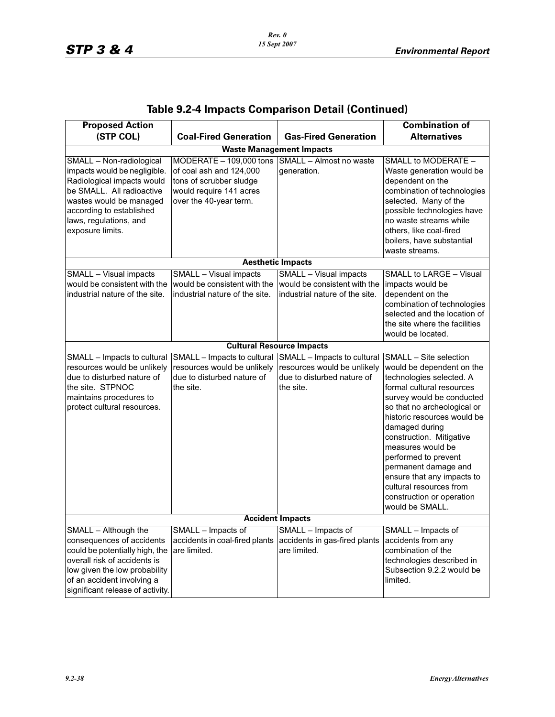| <b>Proposed Action</b>                                                                                                                                                                                                   |                                                                                                                                                            |                                                                                                       | <b>Combination of</b>                                                                                                                                                                                                                                                                                                                                                                                                               |  |  |
|--------------------------------------------------------------------------------------------------------------------------------------------------------------------------------------------------------------------------|------------------------------------------------------------------------------------------------------------------------------------------------------------|-------------------------------------------------------------------------------------------------------|-------------------------------------------------------------------------------------------------------------------------------------------------------------------------------------------------------------------------------------------------------------------------------------------------------------------------------------------------------------------------------------------------------------------------------------|--|--|
| (STP COL)                                                                                                                                                                                                                | <b>Coal-Fired Generation</b>                                                                                                                               | <b>Gas-Fired Generation</b>                                                                           | <b>Alternatives</b>                                                                                                                                                                                                                                                                                                                                                                                                                 |  |  |
|                                                                                                                                                                                                                          | <b>Waste Management Impacts</b>                                                                                                                            |                                                                                                       |                                                                                                                                                                                                                                                                                                                                                                                                                                     |  |  |
| SMALL - Non-radiological<br>impacts would be negligible.<br>Radiological impacts would<br>be SMALL. All radioactive<br>wastes would be managed<br>according to established<br>laws, regulations, and<br>exposure limits. | MODERATE - 109,000 tons SMALL - Almost no waste<br>of coal ash and 124,000<br>tons of scrubber sludge<br>would require 141 acres<br>over the 40-year term. | generation.                                                                                           | SMALL to MODERATE -<br>Waste generation would be<br>dependent on the<br>combination of technologies<br>selected. Many of the<br>possible technologies have<br>no waste streams while<br>others, like coal-fired<br>boilers, have substantial<br>waste streams.                                                                                                                                                                      |  |  |
|                                                                                                                                                                                                                          |                                                                                                                                                            | <b>Aesthetic Impacts</b>                                                                              |                                                                                                                                                                                                                                                                                                                                                                                                                                     |  |  |
| SMALL - Visual impacts<br>would be consistent with the<br>industrial nature of the site.                                                                                                                                 | <b>SMALL</b> - Visual impacts<br>would be consistent with the<br>industrial nature of the site.                                                            | <b>SMALL</b> - Visual impacts<br>would be consistent with the<br>industrial nature of the site.       | <b>SMALL to LARGE - Visual</b><br>impacts would be<br>dependent on the<br>combination of technologies<br>selected and the location of<br>the site where the facilities<br>would be located.                                                                                                                                                                                                                                         |  |  |
|                                                                                                                                                                                                                          |                                                                                                                                                            | <b>Cultural Resource Impacts</b>                                                                      |                                                                                                                                                                                                                                                                                                                                                                                                                                     |  |  |
| SMALL - Impacts to cultural<br>resources would be unlikely<br>due to disturbed nature of<br>the site. STPNOC<br>maintains procedures to<br>protect cultural resources.                                                   | SMALL - Impacts to cultural<br>resources would be unlikely<br>due to disturbed nature of<br>the site.                                                      | SMALL - Impacts to cultural<br>resources would be unlikely<br>due to disturbed nature of<br>the site. | SMALL - Site selection<br>would be dependent on the<br>technologies selected. A<br>formal cultural resources<br>survey would be conducted<br>so that no archeological or<br>historic resources would be<br>damaged during<br>construction. Mitigative<br>measures would be<br>performed to prevent<br>permanent damage and<br>ensure that any impacts to<br>cultural resources from<br>construction or operation<br>would be SMALL. |  |  |
| <b>Accident Impacts</b>                                                                                                                                                                                                  |                                                                                                                                                            |                                                                                                       |                                                                                                                                                                                                                                                                                                                                                                                                                                     |  |  |
| SMALL - Although the<br>consequences of accidents<br>could be potentially high, the<br>overall risk of accidents is<br>low given the low probability<br>of an accident involving a<br>significant release of activity.   | SMALL - Impacts of<br>accidents in coal-fired plants<br>are limited.                                                                                       | SMALL - Impacts of<br>accidents in gas-fired plants<br>are limited.                                   | SMALL - Impacts of<br>accidents from any<br>combination of the<br>technologies described in<br>Subsection 9.2.2 would be<br>limited.                                                                                                                                                                                                                                                                                                |  |  |

# **Table 9.2-4 Impacts Comparison Detail (Continued)**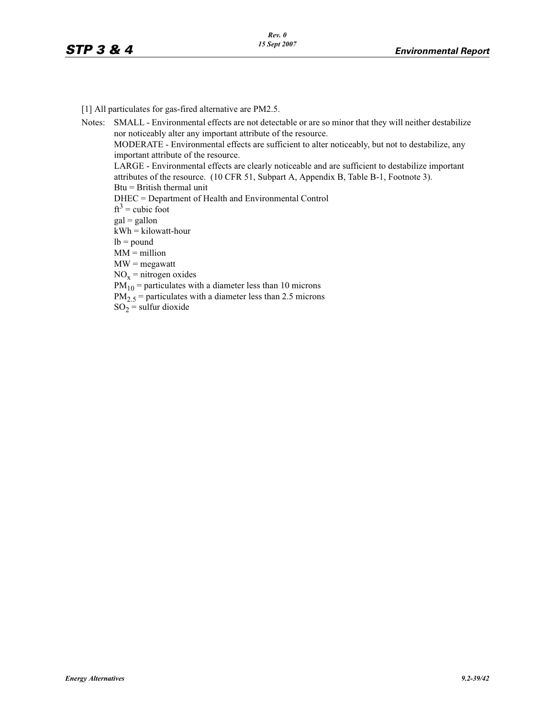[1] All particulates for gas-fired alternative are PM2.5.

Notes: SMALL - Environmental effects are not detectable or are so minor that they will neither destabilize nor noticeably alter any important attribute of the resource. MODERATE - Environmental effects are sufficient to alter noticeably, but not to destabilize, any important attribute of the resource. LARGE - Environmental effects are clearly noticeable and are sufficient to destabilize important attributes of the resource. (10 CFR 51, Subpart A, Appendix B, Table B-1, Footnote 3). Btu = British thermal unit DHEC = Department of Health and Environmental Control  $ft<sup>3</sup> = cubic foot$  $gal = gallon$  $kWh = kilowatt-hour$  $lb = pound$  $MM = million$ MW = megawatt  $NO<sub>x</sub>$  = nitrogen oxides  $PM_{10}$  = particulates with a diameter less than 10 microns  $PM_{2.5}$  = particulates with a diameter less than 2.5 microns  $SO_2$  = sulfur dioxide